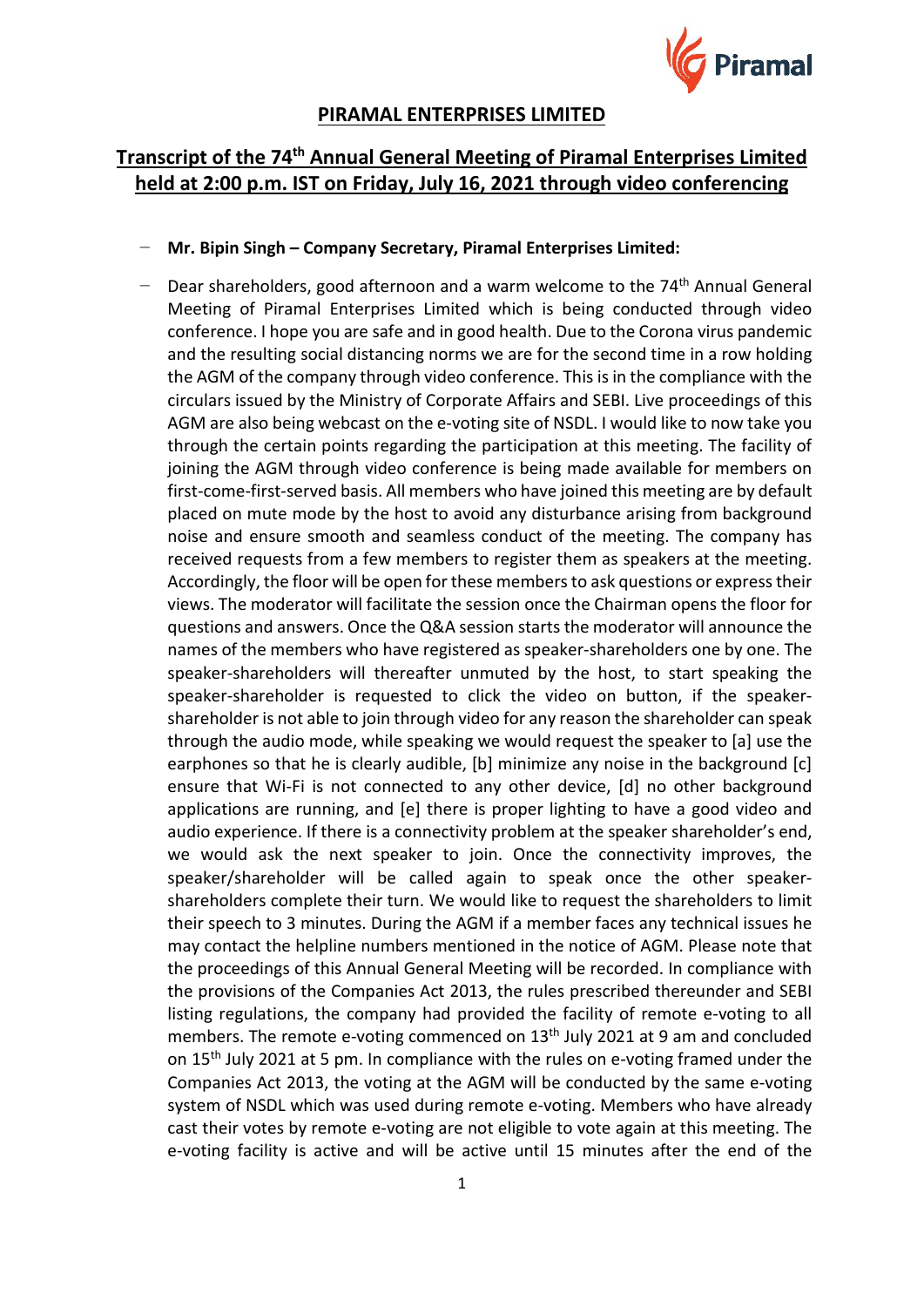

# **PIRAMAL ENTERPRISES LIMITED**

# **Transcript of the 74th Annual General Meeting of Piramal Enterprises Limited held at 2:00 p.m. IST on Friday, July 16, 2021 through video conferencing**

# − **Mr. Bipin Singh – Company Secretary, Piramal Enterprises Limited:**

Dear shareholders, good afternoon and a warm welcome to the 74<sup>th</sup> Annual General Meeting of Piramal Enterprises Limited which is being conducted through video conference. I hope you are safe and in good health. Due to the Corona virus pandemic and the resulting social distancing norms we are for the second time in a row holding the AGM of the company through video conference. This is in the compliance with the circulars issued by the Ministry of Corporate Affairs and SEBI. Live proceedings of this AGM are also being webcast on the e-voting site of NSDL. I would like to now take you through the certain points regarding the participation at this meeting. The facility of joining the AGM through video conference is being made available for members on first-come-first-served basis. All members who have joined this meeting are by default placed on mute mode by the host to avoid any disturbance arising from background noise and ensure smooth and seamless conduct of the meeting. The company has received requests from a few members to register them as speakers at the meeting. Accordingly, the floor will be open for these members to ask questions or express their views. The moderator will facilitate the session once the Chairman opens the floor for questions and answers. Once the Q&A session starts the moderator will announce the names of the members who have registered as speaker-shareholders one by one. The speaker-shareholders will thereafter unmuted by the host, to start speaking the speaker-shareholder is requested to click the video on button, if the speakershareholder is not able to join through video for any reason the shareholder can speak through the audio mode, while speaking we would request the speaker to [a] use the earphones so that he is clearly audible, [b] minimize any noise in the background [c] ensure that Wi-Fi is not connected to any other device, [d] no other background applications are running, and [e] there is proper lighting to have a good video and audio experience. If there is a connectivity problem at the speaker shareholder's end, we would ask the next speaker to join. Once the connectivity improves, the speaker/shareholder will be called again to speak once the other speakershareholders complete their turn. We would like to request the shareholders to limit their speech to 3 minutes. During the AGM if a member faces any technical issues he may contact the helpline numbers mentioned in the notice of AGM. Please note that the proceedings of this Annual General Meeting will be recorded. In compliance with the provisions of the Companies Act 2013, the rules prescribed thereunder and SEBI listing regulations, the company had provided the facility of remote e-voting to all members. The remote e-voting commenced on 13<sup>th</sup> July 2021 at 9 am and concluded on 15th July 2021 at 5 pm. In compliance with the rules on e-voting framed under the Companies Act 2013, the voting at the AGM will be conducted by the same e-voting system of NSDL which was used during remote e-voting. Members who have already cast their votes by remote e-voting are not eligible to vote again at this meeting. The e-voting facility is active and will be active until 15 minutes after the end of the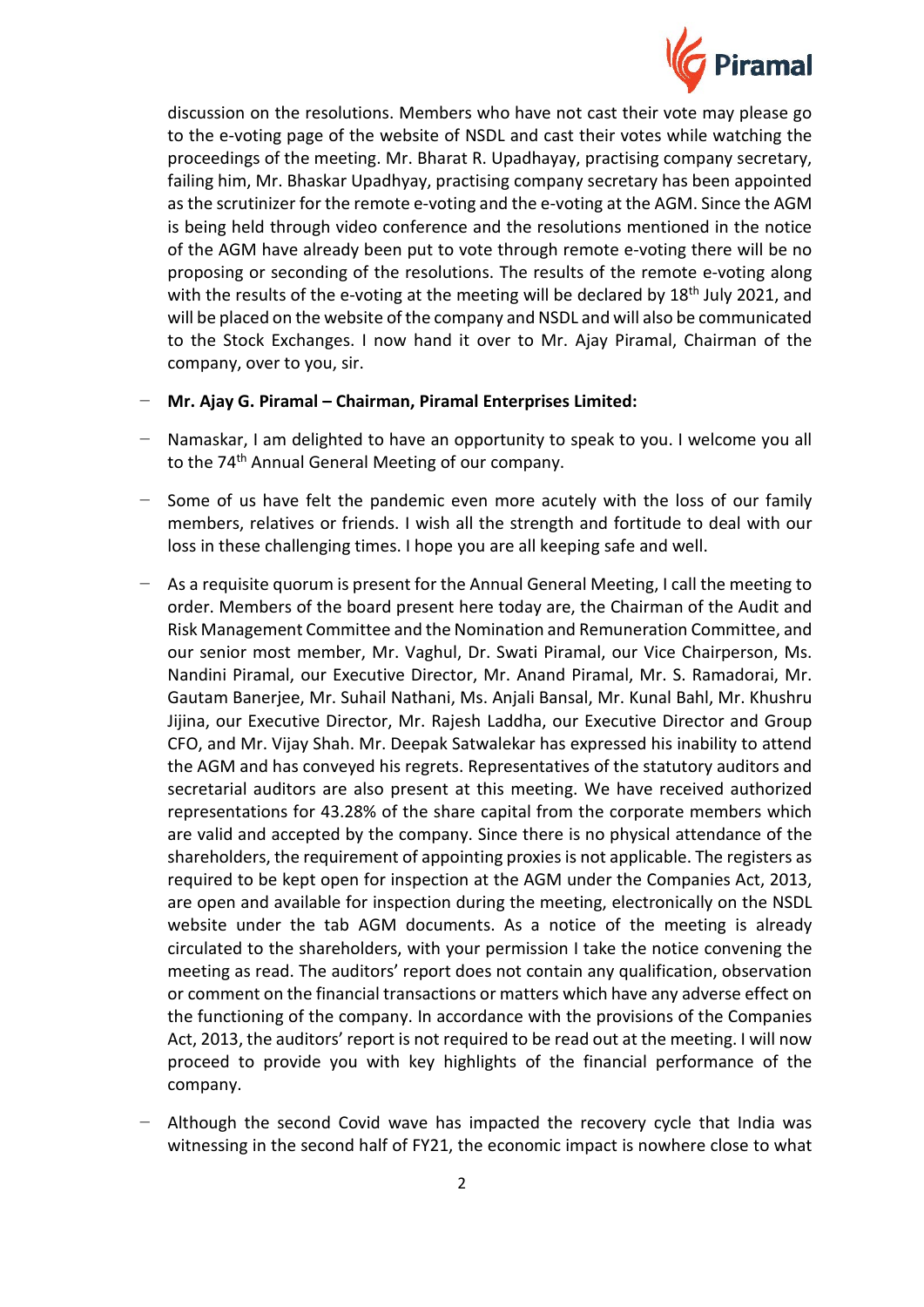

discussion on the resolutions. Members who have not cast their vote may please go to the e-voting page of the website of NSDL and cast their votes while watching the proceedings of the meeting. Mr. Bharat R. Upadhayay, practising company secretary, failing him, Mr. Bhaskar Upadhyay, practising company secretary has been appointed as the scrutinizer for the remote e-voting and the e-voting at the AGM. Since the AGM is being held through video conference and the resolutions mentioned in the notice of the AGM have already been put to vote through remote e-voting there will be no proposing or seconding of the resolutions. The results of the remote e-voting along with the results of the e-voting at the meeting will be declared by  $18<sup>th</sup>$  July 2021, and will be placed on the website of the company and NSDL and will also be communicated to the Stock Exchanges. I now hand it over to Mr. Ajay Piramal, Chairman of the company, over to you, sir.

- − **Mr. Ajay G. Piramal – Chairman, Piramal Enterprises Limited:**
- Namaskar, I am delighted to have an opportunity to speak to you. I welcome you all to the 74<sup>th</sup> Annual General Meeting of our company.
- − Some of us have felt the pandemic even more acutely with the loss of our family members, relatives or friends. I wish all the strength and fortitude to deal with our loss in these challenging times. I hope you are all keeping safe and well.
- − As a requisite quorum is present for the Annual General Meeting, I call the meeting to order. Members of the board present here today are, the Chairman of the Audit and Risk Management Committee and the Nomination and Remuneration Committee, and our senior most member, Mr. Vaghul, Dr. Swati Piramal, our Vice Chairperson, Ms. Nandini Piramal, our Executive Director, Mr. Anand Piramal, Mr. S. Ramadorai, Mr. Gautam Banerjee, Mr. Suhail Nathani, Ms. Anjali Bansal, Mr. Kunal Bahl, Mr. Khushru Jijina, our Executive Director, Mr. Rajesh Laddha, our Executive Director and Group CFO, and Mr. Vijay Shah. Mr. Deepak Satwalekar has expressed his inability to attend the AGM and has conveyed his regrets. Representatives of the statutory auditors and secretarial auditors are also present at this meeting. We have received authorized representations for 43.28% of the share capital from the corporate members which are valid and accepted by the company. Since there is no physical attendance of the shareholders, the requirement of appointing proxies is not applicable. The registers as required to be kept open for inspection at the AGM under the Companies Act, 2013, are open and available for inspection during the meeting, electronically on the NSDL website under the tab AGM documents. As a notice of the meeting is already circulated to the shareholders, with your permission I take the notice convening the meeting as read. The auditors' report does not contain any qualification, observation or comment on the financial transactions or matters which have any adverse effect on the functioning of the company. In accordance with the provisions of the Companies Act, 2013, the auditors' report is not required to be read out at the meeting. I will now proceed to provide you with key highlights of the financial performance of the company.
- Although the second Covid wave has impacted the recovery cycle that India was witnessing in the second half of FY21, the economic impact is nowhere close to what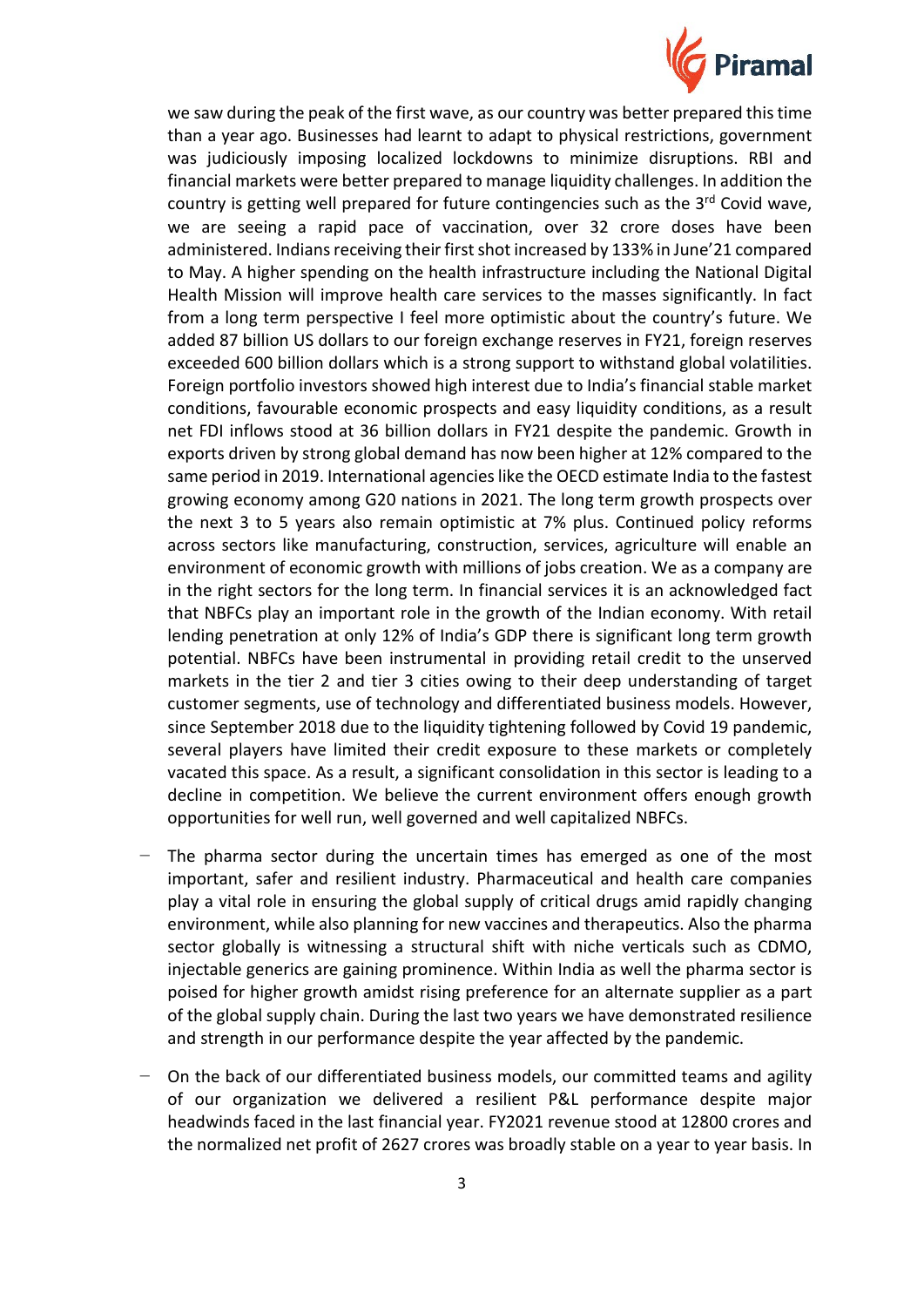

we saw during the peak of the first wave, as our country was better prepared this time than a year ago. Businesses had learnt to adapt to physical restrictions, government was judiciously imposing localized lockdowns to minimize disruptions. RBI and financial markets were better prepared to manage liquidity challenges. In addition the country is getting well prepared for future contingencies such as the  $3<sup>rd</sup>$  Covid wave, we are seeing a rapid pace of vaccination, over 32 crore doses have been administered. Indians receiving their first shot increased by 133% in June'21 compared to May. A higher spending on the health infrastructure including the National Digital Health Mission will improve health care services to the masses significantly. In fact from a long term perspective I feel more optimistic about the country's future. We added 87 billion US dollars to our foreign exchange reserves in FY21, foreign reserves exceeded 600 billion dollars which is a strong support to withstand global volatilities. Foreign portfolio investors showed high interest due to India's financial stable market conditions, favourable economic prospects and easy liquidity conditions, as a result net FDI inflows stood at 36 billion dollars in FY21 despite the pandemic. Growth in exports driven by strong global demand has now been higher at 12% compared to the same period in 2019. International agencies like the OECD estimate India to the fastest growing economy among G20 nations in 2021. The long term growth prospects over the next 3 to 5 years also remain optimistic at 7% plus. Continued policy reforms across sectors like manufacturing, construction, services, agriculture will enable an environment of economic growth with millions of jobs creation. We as a company are in the right sectors for the long term. In financial services it is an acknowledged fact that NBFCs play an important role in the growth of the Indian economy. With retail lending penetration at only 12% of India's GDP there is significant long term growth potential. NBFCs have been instrumental in providing retail credit to the unserved markets in the tier 2 and tier 3 cities owing to their deep understanding of target customer segments, use of technology and differentiated business models. However, since September 2018 due to the liquidity tightening followed by Covid 19 pandemic, several players have limited their credit exposure to these markets or completely vacated this space. As a result, a significant consolidation in this sector is leading to a decline in competition. We believe the current environment offers enough growth opportunities for well run, well governed and well capitalized NBFCs.

- The pharma sector during the uncertain times has emerged as one of the most important, safer and resilient industry. Pharmaceutical and health care companies play a vital role in ensuring the global supply of critical drugs amid rapidly changing environment, while also planning for new vaccines and therapeutics. Also the pharma sector globally is witnessing a structural shift with niche verticals such as CDMO, injectable generics are gaining prominence. Within India as well the pharma sector is poised for higher growth amidst rising preference for an alternate supplier as a part of the global supply chain. During the last two years we have demonstrated resilience and strength in our performance despite the year affected by the pandemic.
- On the back of our differentiated business models, our committed teams and agility of our organization we delivered a resilient P&L performance despite major headwinds faced in the last financial year. FY2021 revenue stood at 12800 crores and the normalized net profit of 2627 crores was broadly stable on a year to year basis. In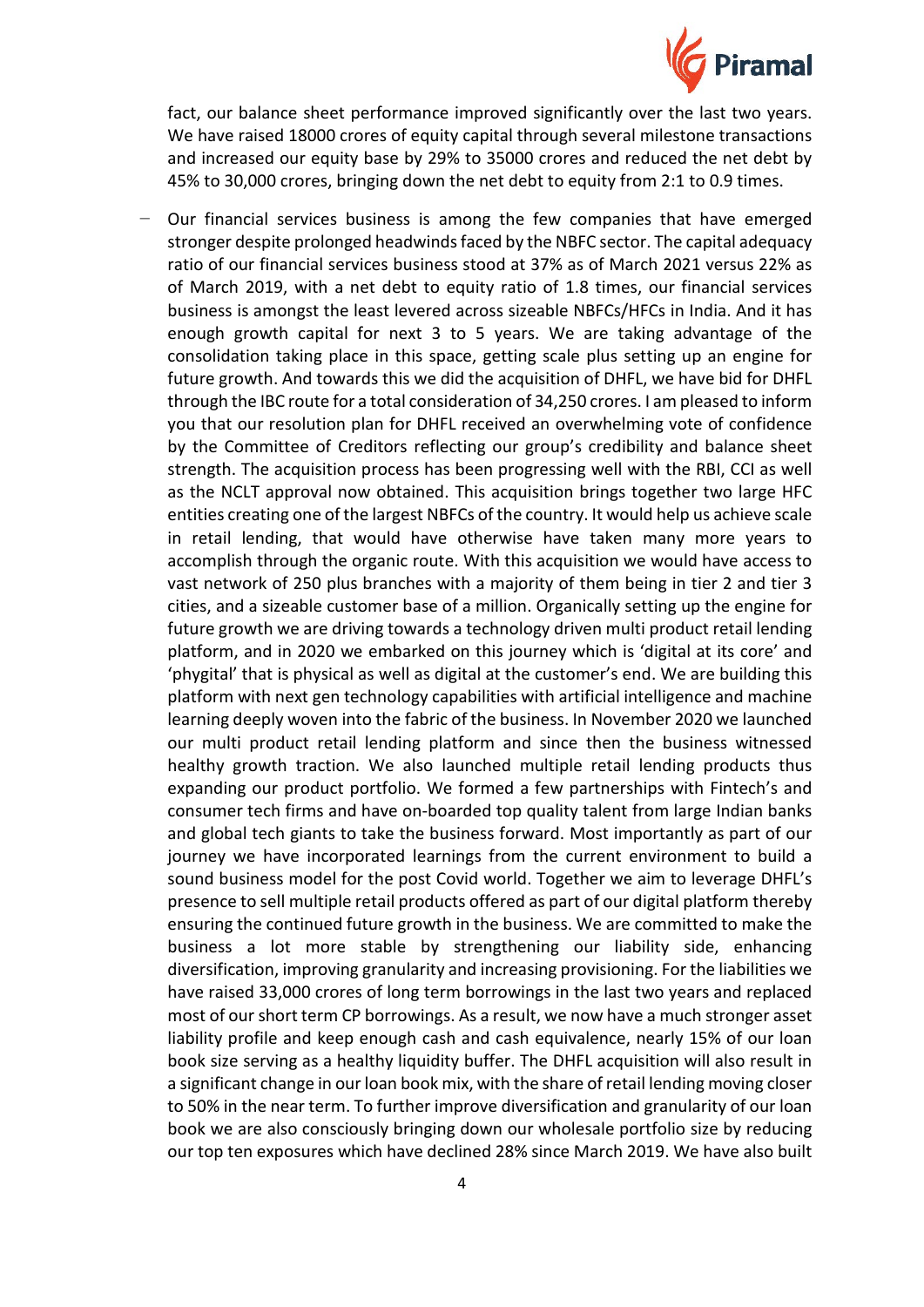

fact, our balance sheet performance improved significantly over the last two years. We have raised 18000 crores of equity capital through several milestone transactions and increased our equity base by 29% to 35000 crores and reduced the net debt by 45% to 30,000 crores, bringing down the net debt to equity from 2:1 to 0.9 times.

Our financial services business is among the few companies that have emerged stronger despite prolonged headwinds faced by the NBFC sector. The capital adequacy ratio of our financial services business stood at 37% as of March 2021 versus 22% as of March 2019, with a net debt to equity ratio of 1.8 times, our financial services business is amongst the least levered across sizeable NBFCs/HFCs in India. And it has enough growth capital for next 3 to 5 years. We are taking advantage of the consolidation taking place in this space, getting scale plus setting up an engine for future growth. And towards this we did the acquisition of DHFL, we have bid for DHFL through the IBC route for a total consideration of 34,250 crores. I am pleased to inform you that our resolution plan for DHFL received an overwhelming vote of confidence by the Committee of Creditors reflecting our group's credibility and balance sheet strength. The acquisition process has been progressing well with the RBI, CCI as well as the NCLT approval now obtained. This acquisition brings together two large HFC entities creating one of the largest NBFCs of the country. It would help us achieve scale in retail lending, that would have otherwise have taken many more years to accomplish through the organic route. With this acquisition we would have access to vast network of 250 plus branches with a majority of them being in tier 2 and tier 3 cities, and a sizeable customer base of a million. Organically setting up the engine for future growth we are driving towards a technology driven multi product retail lending platform, and in 2020 we embarked on this journey which is 'digital at its core' and 'phygital' that is physical as well as digital at the customer's end. We are building this platform with next gen technology capabilities with artificial intelligence and machine learning deeply woven into the fabric of the business. In November 2020 we launched our multi product retail lending platform and since then the business witnessed healthy growth traction. We also launched multiple retail lending products thus expanding our product portfolio. We formed a few partnerships with Fintech's and consumer tech firms and have on-boarded top quality talent from large Indian banks and global tech giants to take the business forward. Most importantly as part of our journey we have incorporated learnings from the current environment to build a sound business model for the post Covid world. Together we aim to leverage DHFL's presence to sell multiple retail products offered as part of our digital platform thereby ensuring the continued future growth in the business. We are committed to make the business a lot more stable by strengthening our liability side, enhancing diversification, improving granularity and increasing provisioning. For the liabilities we have raised 33,000 crores of long term borrowings in the last two years and replaced most of our short term CP borrowings. As a result, we now have a much stronger asset liability profile and keep enough cash and cash equivalence, nearly 15% of our loan book size serving as a healthy liquidity buffer. The DHFL acquisition will also result in a significant change in our loan book mix, with the share of retail lending moving closer to 50% in the near term. To further improve diversification and granularity of our loan book we are also consciously bringing down our wholesale portfolio size by reducing our top ten exposures which have declined 28% since March 2019. We have also built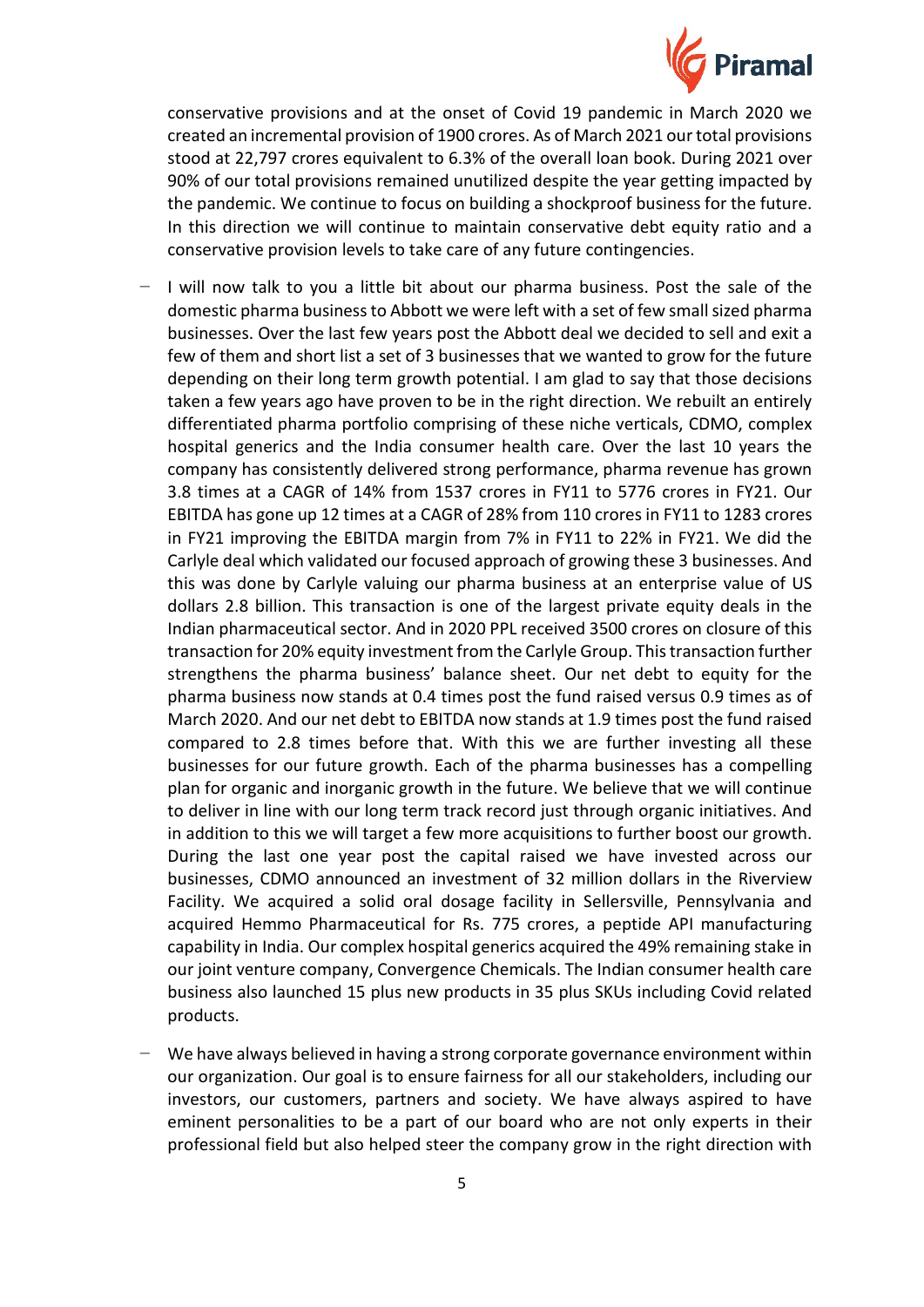

conservative provisions and at the onset of Covid 19 pandemic in March 2020 we created an incremental provision of 1900 crores. As of March 2021 our total provisions stood at 22,797 crores equivalent to 6.3% of the overall loan book. During 2021 over 90% of our total provisions remained unutilized despite the year getting impacted by the pandemic. We continue to focus on building a shockproof business for the future. In this direction we will continue to maintain conservative debt equity ratio and a conservative provision levels to take care of any future contingencies.

- − I will now talk to you a little bit about our pharma business. Post the sale of the domestic pharma business to Abbott we were left with a set of few small sized pharma businesses. Over the last few years post the Abbott deal we decided to sell and exit a few of them and short list a set of 3 businesses that we wanted to grow for the future depending on their long term growth potential. I am glad to say that those decisions taken a few years ago have proven to be in the right direction. We rebuilt an entirely differentiated pharma portfolio comprising of these niche verticals, CDMO, complex hospital generics and the India consumer health care. Over the last 10 years the company has consistently delivered strong performance, pharma revenue has grown 3.8 times at a CAGR of 14% from 1537 crores in FY11 to 5776 crores in FY21. Our EBITDA has gone up 12 times at a CAGR of 28% from 110 crores in FY11 to 1283 crores in FY21 improving the EBITDA margin from 7% in FY11 to 22% in FY21. We did the Carlyle deal which validated our focused approach of growing these 3 businesses. And this was done by Carlyle valuing our pharma business at an enterprise value of US dollars 2.8 billion. This transaction is one of the largest private equity deals in the Indian pharmaceutical sector. And in 2020 PPL received 3500 crores on closure of this transaction for 20% equity investment from the Carlyle Group. This transaction further strengthens the pharma business' balance sheet. Our net debt to equity for the pharma business now stands at 0.4 times post the fund raised versus 0.9 times as of March 2020. And our net debt to EBITDA now stands at 1.9 times post the fund raised compared to 2.8 times before that. With this we are further investing all these businesses for our future growth. Each of the pharma businesses has a compelling plan for organic and inorganic growth in the future. We believe that we will continue to deliver in line with our long term track record just through organic initiatives. And in addition to this we will target a few more acquisitions to further boost our growth. During the last one year post the capital raised we have invested across our businesses, CDMO announced an investment of 32 million dollars in the Riverview Facility. We acquired a solid oral dosage facility in Sellersville, Pennsylvania and acquired Hemmo Pharmaceutical for Rs. 775 crores, a peptide API manufacturing capability in India. Our complex hospital generics acquired the 49% remaining stake in our joint venture company, Convergence Chemicals. The Indian consumer health care business also launched 15 plus new products in 35 plus SKUs including Covid related products.
- We have always believed in having a strong corporate governance environment within our organization. Our goal is to ensure fairness for all our stakeholders, including our investors, our customers, partners and society. We have always aspired to have eminent personalities to be a part of our board who are not only experts in their professional field but also helped steer the company grow in the right direction with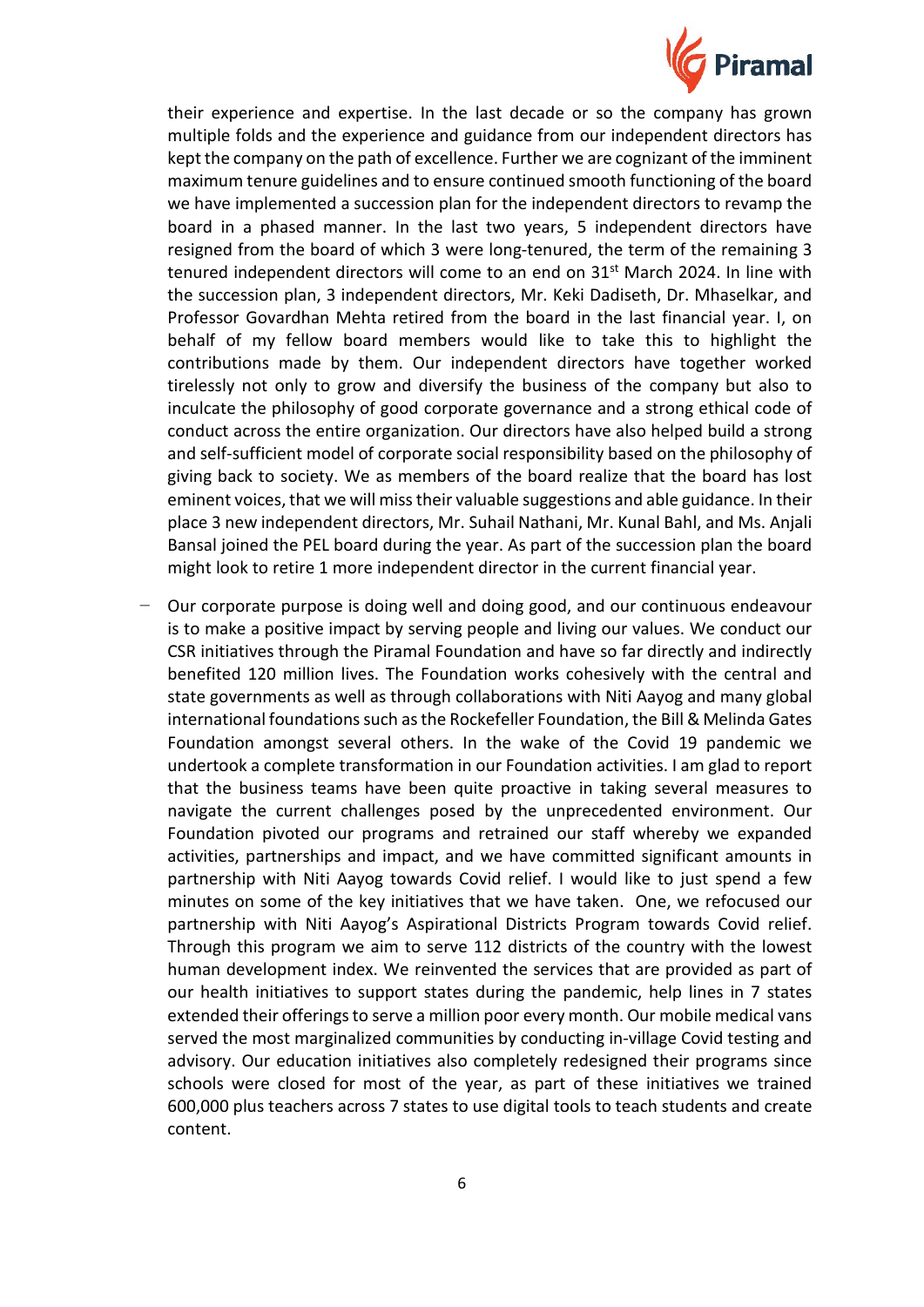

their experience and expertise. In the last decade or so the company has grown multiple folds and the experience and guidance from our independent directors has kept the company on the path of excellence. Further we are cognizant of the imminent maximum tenure guidelines and to ensure continued smooth functioning of the board we have implemented a succession plan for the independent directors to revamp the board in a phased manner. In the last two years, 5 independent directors have resigned from the board of which 3 were long-tenured, the term of the remaining 3 tenured independent directors will come to an end on 31<sup>st</sup> March 2024. In line with the succession plan, 3 independent directors, Mr. Keki Dadiseth, Dr. Mhaselkar, and Professor Govardhan Mehta retired from the board in the last financial year. I, on behalf of my fellow board members would like to take this to highlight the contributions made by them. Our independent directors have together worked tirelessly not only to grow and diversify the business of the company but also to inculcate the philosophy of good corporate governance and a strong ethical code of conduct across the entire organization. Our directors have also helped build a strong and self-sufficient model of corporate social responsibility based on the philosophy of giving back to society. We as members of the board realize that the board has lost eminent voices, that we will miss their valuable suggestions and able guidance. In their place 3 new independent directors, Mr. Suhail Nathani, Mr. Kunal Bahl, and Ms. Anjali Bansal joined the PEL board during the year. As part of the succession plan the board might look to retire 1 more independent director in the current financial year.

Our corporate purpose is doing well and doing good, and our continuous endeavour is to make a positive impact by serving people and living our values. We conduct our CSR initiatives through the Piramal Foundation and have so far directly and indirectly benefited 120 million lives. The Foundation works cohesively with the central and state governments as well as through collaborations with Niti Aayog and many global international foundations such as the Rockefeller Foundation, the Bill & Melinda Gates Foundation amongst several others. In the wake of the Covid 19 pandemic we undertook a complete transformation in our Foundation activities. I am glad to report that the business teams have been quite proactive in taking several measures to navigate the current challenges posed by the unprecedented environment. Our Foundation pivoted our programs and retrained our staff whereby we expanded activities, partnerships and impact, and we have committed significant amounts in partnership with Niti Aayog towards Covid relief. I would like to just spend a few minutes on some of the key initiatives that we have taken. One, we refocused our partnership with Niti Aayog's Aspirational Districts Program towards Covid relief. Through this program we aim to serve 112 districts of the country with the lowest human development index. We reinvented the services that are provided as part of our health initiatives to support states during the pandemic, help lines in 7 states extended their offerings to serve a million poor every month. Our mobile medical vans served the most marginalized communities by conducting in-village Covid testing and advisory. Our education initiatives also completely redesigned their programs since schools were closed for most of the year, as part of these initiatives we trained 600,000 plus teachers across 7 states to use digital tools to teach students and create content.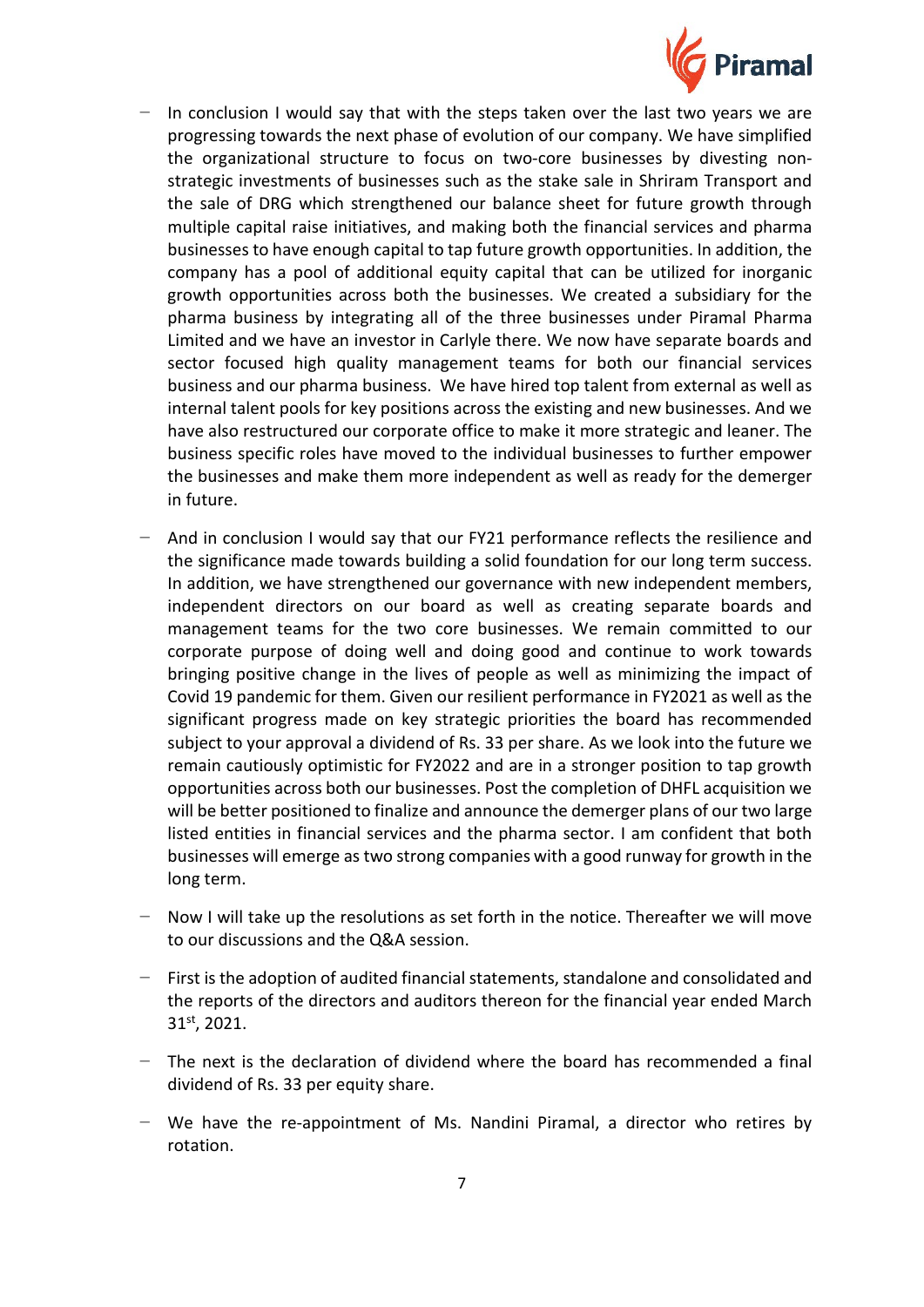

- In conclusion I would say that with the steps taken over the last two years we are progressing towards the next phase of evolution of our company. We have simplified the organizational structure to focus on two-core businesses by divesting nonstrategic investments of businesses such as the stake sale in Shriram Transport and the sale of DRG which strengthened our balance sheet for future growth through multiple capital raise initiatives, and making both the financial services and pharma businesses to have enough capital to tap future growth opportunities. In addition, the company has a pool of additional equity capital that can be utilized for inorganic growth opportunities across both the businesses. We created a subsidiary for the pharma business by integrating all of the three businesses under Piramal Pharma Limited and we have an investor in Carlyle there. We now have separate boards and sector focused high quality management teams for both our financial services business and our pharma business. We have hired top talent from external as well as internal talent pools for key positions across the existing and new businesses. And we have also restructured our corporate office to make it more strategic and leaner. The business specific roles have moved to the individual businesses to further empower the businesses and make them more independent as well as ready for the demerger in future.
- − And in conclusion I would say that our FY21 performance reflects the resilience and the significance made towards building a solid foundation for our long term success. In addition, we have strengthened our governance with new independent members, independent directors on our board as well as creating separate boards and management teams for the two core businesses. We remain committed to our corporate purpose of doing well and doing good and continue to work towards bringing positive change in the lives of people as well as minimizing the impact of Covid 19 pandemic for them. Given our resilient performance in FY2021 as well as the significant progress made on key strategic priorities the board has recommended subject to your approval a dividend of Rs. 33 per share. As we look into the future we remain cautiously optimistic for FY2022 and are in a stronger position to tap growth opportunities across both our businesses. Post the completion of DHFL acquisition we will be better positioned to finalize and announce the demerger plans of our two large listed entities in financial services and the pharma sector. I am confident that both businesses will emerge as two strong companies with a good runway for growth in the long term.
- − Now I will take up the resolutions as set forth in the notice. Thereafter we will move to our discussions and the Q&A session.
- − First is the adoption of audited financial statements, standalone and consolidated and the reports of the directors and auditors thereon for the financial year ended March 31st, 2021.
- − The next is the declaration of dividend where the board has recommended a final dividend of Rs. 33 per equity share.
- − We have the re-appointment of Ms. Nandini Piramal, a director who retires by rotation.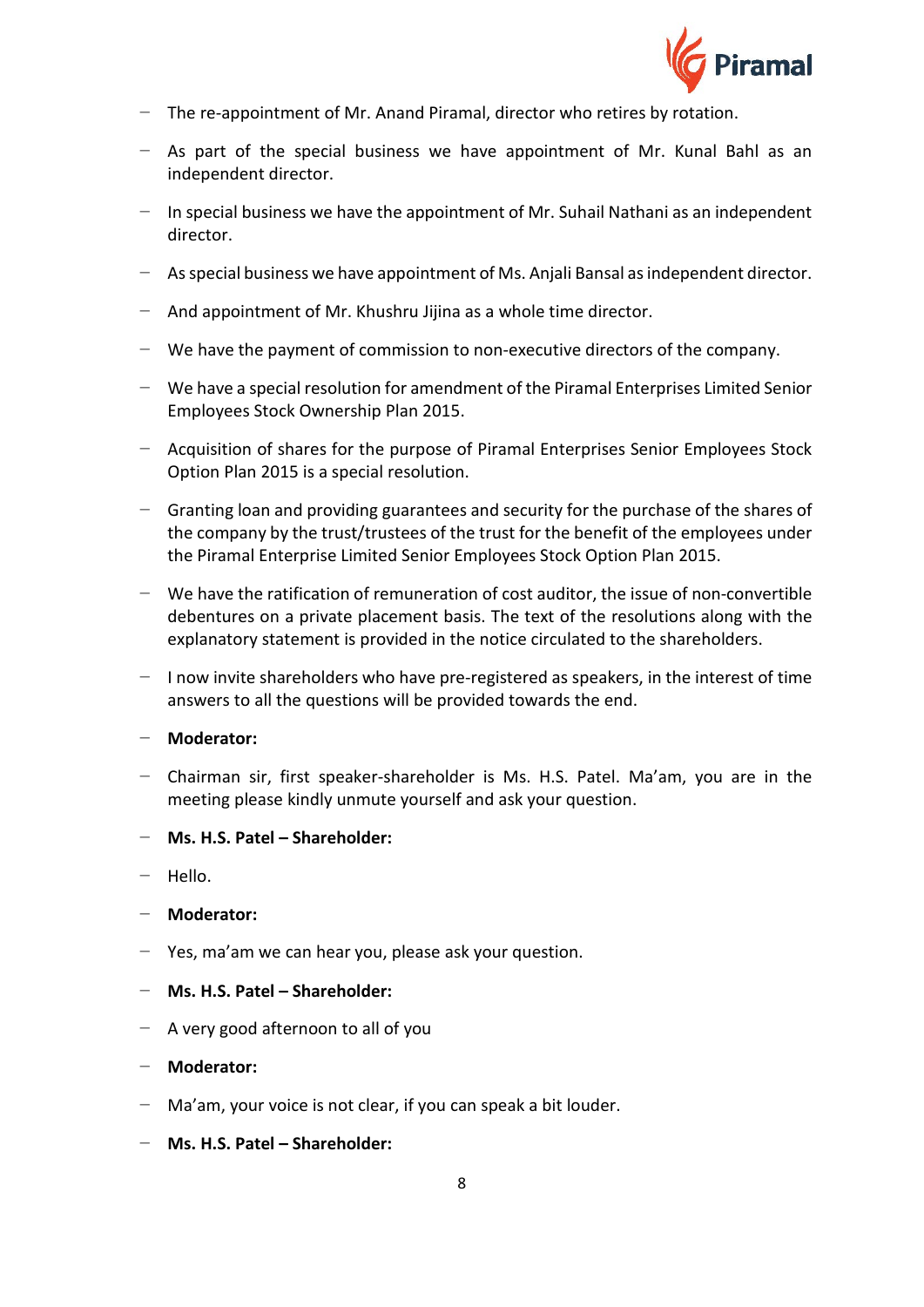

- − The re-appointment of Mr. Anand Piramal, director who retires by rotation.
- − As part of the special business we have appointment of Mr. Kunal Bahl as an independent director.
- − In special business we have the appointment of Mr. Suhail Nathani as an independent director.
- − As special business we have appointment of Ms. Anjali Bansal as independent director.
- − And appointment of Mr. Khushru Jijina as a whole time director.
- − We have the payment of commission to non-executive directors of the company.
- − We have a special resolution for amendment of the Piramal Enterprises Limited Senior Employees Stock Ownership Plan 2015.
- − Acquisition of shares for the purpose of Piramal Enterprises Senior Employees Stock Option Plan 2015 is a special resolution.
- − Granting loan and providing guarantees and security for the purchase of the shares of the company by the trust/trustees of the trust for the benefit of the employees under the Piramal Enterprise Limited Senior Employees Stock Option Plan 2015.
- − We have the ratification of remuneration of cost auditor, the issue of non-convertible debentures on a private placement basis. The text of the resolutions along with the explanatory statement is provided in the notice circulated to the shareholders.
- − I now invite shareholders who have pre-registered as speakers, in the interest of time answers to all the questions will be provided towards the end.
- − **Moderator:**
- − Chairman sir, first speaker-shareholder is Ms. H.S. Patel. Ma'am, you are in the meeting please kindly unmute yourself and ask your question.
- − **Ms. H.S. Patel – Shareholder:**
- − Hello.
- − **Moderator:**
- − Yes, ma'am we can hear you, please ask your question.
- − **Ms. H.S. Patel – Shareholder:**
- − A very good afternoon to all of you
- − **Moderator:**
- − Ma'am, your voice is not clear, if you can speak a bit louder.
- − **Ms. H.S. Patel – Shareholder:**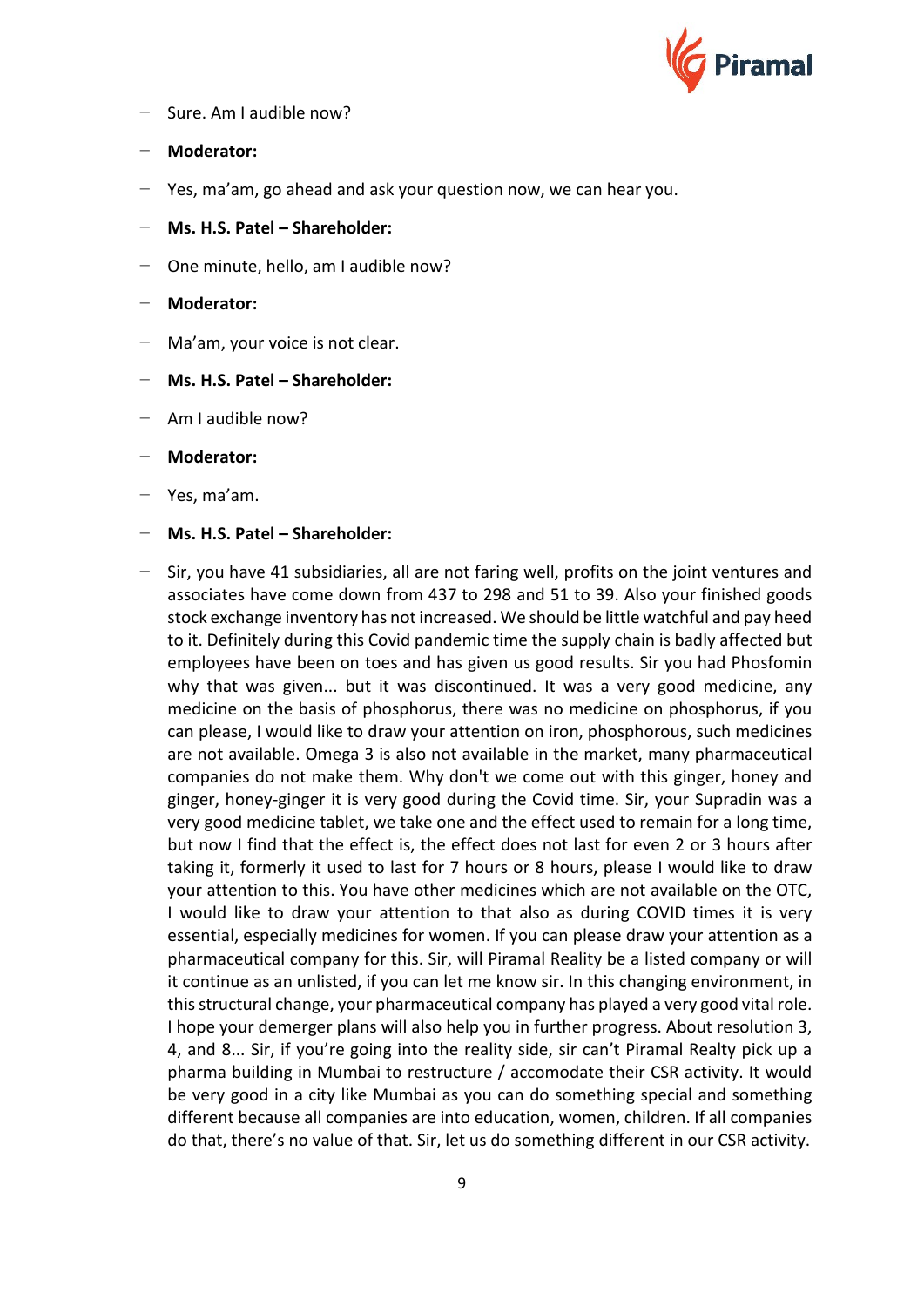

- − Sure. Am I audible now?
- − **Moderator:**
- − Yes, ma'am, go ahead and ask your question now, we can hear you.
- − **Ms. H.S. Patel – Shareholder:**
- − One minute, hello, am I audible now?
- − **Moderator:**
- − Ma'am, your voice is not clear.
- − **Ms. H.S. Patel – Shareholder:**
- − Am I audible now?
- − **Moderator:**
- − Yes, ma'am.
- − **Ms. H.S. Patel – Shareholder:**
- − Sir, you have 41 subsidiaries, all are not faring well, profits on the joint ventures and associates have come down from 437 to 298 and 51 to 39. Also your finished goods stock exchange inventory has not increased. We should be little watchful and pay heed to it. Definitely during this Covid pandemic time the supply chain is badly affected but employees have been on toes and has given us good results. Sir you had Phosfomin why that was given... but it was discontinued. It was a very good medicine, any medicine on the basis of phosphorus, there was no medicine on phosphorus, if you can please, I would like to draw your attention on iron, phosphorous, such medicines are not available. Omega 3 is also not available in the market, many pharmaceutical companies do not make them. Why don't we come out with this ginger, honey and ginger, honey-ginger it is very good during the Covid time. Sir, your Supradin was a very good medicine tablet, we take one and the effect used to remain for a long time, but now I find that the effect is, the effect does not last for even 2 or 3 hours after taking it, formerly it used to last for 7 hours or 8 hours, please I would like to draw your attention to this. You have other medicines which are not available on the OTC, I would like to draw your attention to that also as during COVID times it is very essential, especially medicines for women. If you can please draw your attention as a pharmaceutical company for this. Sir, will Piramal Reality be a listed company or will it continue as an unlisted, if you can let me know sir. In this changing environment, in this structural change, your pharmaceutical company has played a very good vital role. I hope your demerger plans will also help you in further progress. About resolution 3, 4, and 8... Sir, if you're going into the reality side, sir can't Piramal Realty pick up a pharma building in Mumbai to restructure / accomodate their CSR activity. It would be very good in a city like Mumbai as you can do something special and something different because all companies are into education, women, children. If all companies do that, there's no value of that. Sir, let us do something different in our CSR activity.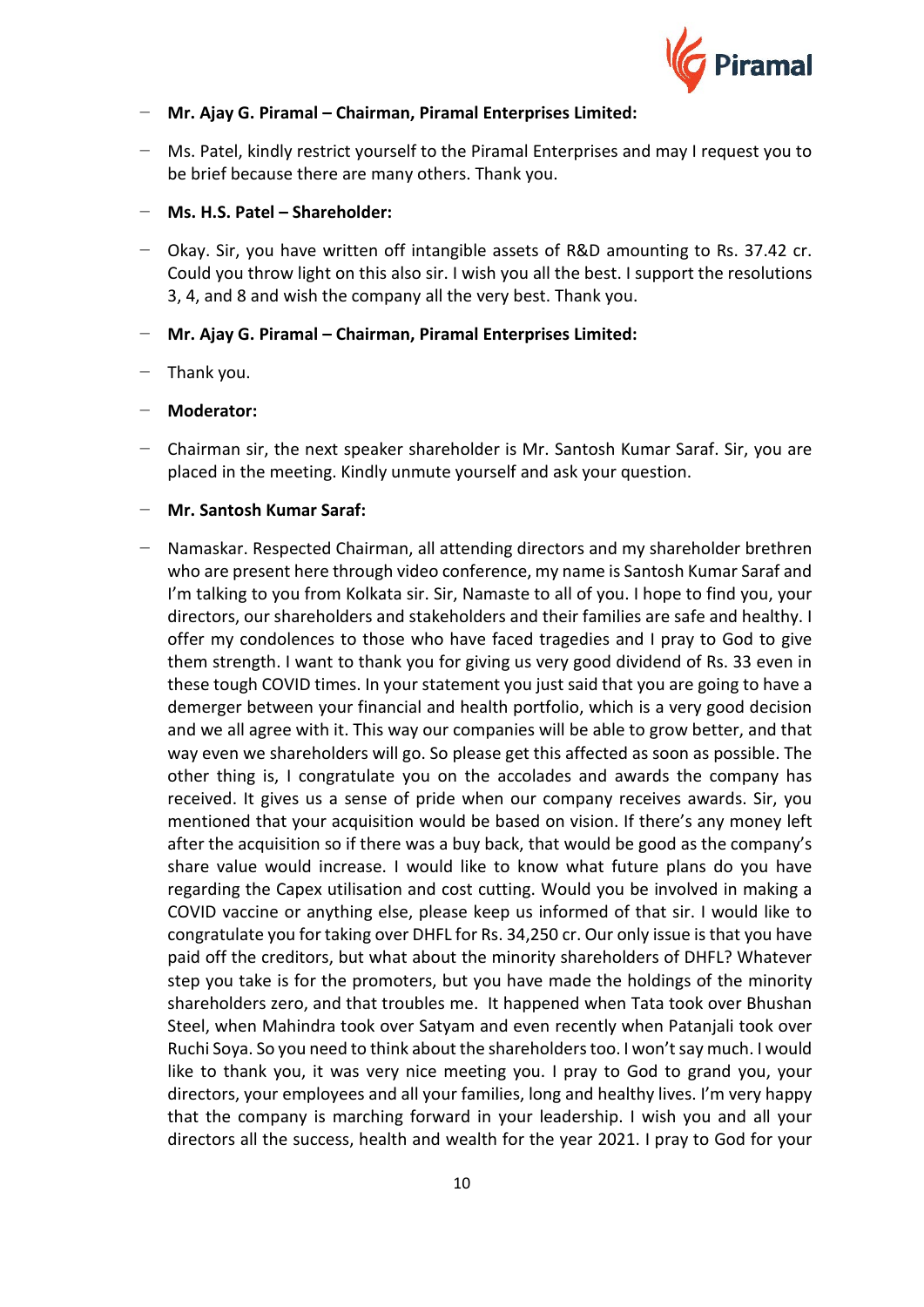

# − **Mr. Ajay G. Piramal – Chairman, Piramal Enterprises Limited:**

− Ms. Patel, kindly restrict yourself to the Piramal Enterprises and may I request you to be brief because there are many others. Thank you.

#### − **Ms. H.S. Patel – Shareholder:**

− Okay. Sir, you have written off intangible assets of R&D amounting to Rs. 37.42 cr. Could you throw light on this also sir. I wish you all the best. I support the resolutions 3, 4, and 8 and wish the company all the very best. Thank you.

# − **Mr. Ajay G. Piramal – Chairman, Piramal Enterprises Limited:**

# − Thank you.

#### − **Moderator:**

− Chairman sir, the next speaker shareholder is Mr. Santosh Kumar Saraf. Sir, you are placed in the meeting. Kindly unmute yourself and ask your question.

#### − **Mr. Santosh Kumar Saraf:**

− Namaskar. Respected Chairman, all attending directors and my shareholder brethren who are present here through video conference, my name is Santosh Kumar Saraf and I'm talking to you from Kolkata sir. Sir, Namaste to all of you. I hope to find you, your directors, our shareholders and stakeholders and their families are safe and healthy. I offer my condolences to those who have faced tragedies and I pray to God to give them strength. I want to thank you for giving us very good dividend of Rs. 33 even in these tough COVID times. In your statement you just said that you are going to have a demerger between your financial and health portfolio, which is a very good decision and we all agree with it. This way our companies will be able to grow better, and that way even we shareholders will go. So please get this affected as soon as possible. The other thing is, I congratulate you on the accolades and awards the company has received. It gives us a sense of pride when our company receives awards. Sir, you mentioned that your acquisition would be based on vision. If there's any money left after the acquisition so if there was a buy back, that would be good as the company's share value would increase. I would like to know what future plans do you have regarding the Capex utilisation and cost cutting. Would you be involved in making a COVID vaccine or anything else, please keep us informed of that sir. I would like to congratulate you for taking over DHFL for Rs. 34,250 cr. Our only issue is that you have paid off the creditors, but what about the minority shareholders of DHFL? Whatever step you take is for the promoters, but you have made the holdings of the minority shareholders zero, and that troubles me. It happened when Tata took over Bhushan Steel, when Mahindra took over Satyam and even recently when Patanjali took over Ruchi Soya. So you need to think about the shareholders too. I won't say much. I would like to thank you, it was very nice meeting you. I pray to God to grand you, your directors, your employees and all your families, long and healthy lives. I'm very happy that the company is marching forward in your leadership. I wish you and all your directors all the success, health and wealth for the year 2021. I pray to God for your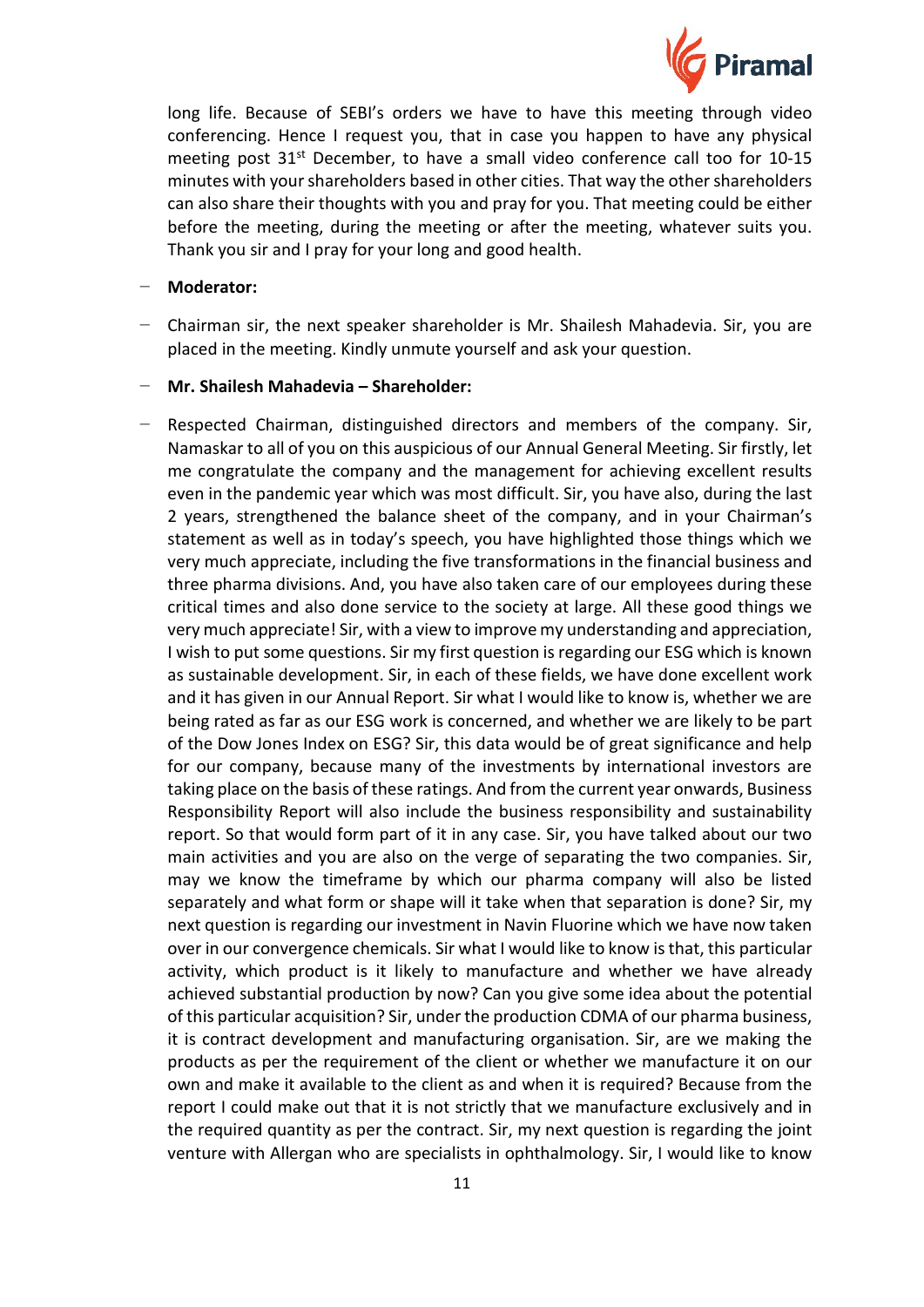

long life. Because of SEBI's orders we have to have this meeting through video conferencing. Hence I request you, that in case you happen to have any physical meeting post 31<sup>st</sup> December, to have a small video conference call too for 10-15 minutes with your shareholders based in other cities. That way the other shareholders can also share their thoughts with you and pray for you. That meeting could be either before the meeting, during the meeting or after the meeting, whatever suits you. Thank you sir and I pray for your long and good health.

#### − **Moderator:**

- − Chairman sir, the next speaker shareholder is Mr. Shailesh Mahadevia. Sir, you are placed in the meeting. Kindly unmute yourself and ask your question.
- − **Mr. Shailesh Mahadevia – Shareholder:**
- Respected Chairman, distinguished directors and members of the company. Sir, Namaskar to all of you on this auspicious of our Annual General Meeting. Sir firstly, let me congratulate the company and the management for achieving excellent results even in the pandemic year which was most difficult. Sir, you have also, during the last 2 years, strengthened the balance sheet of the company, and in your Chairman's statement as well as in today's speech, you have highlighted those things which we very much appreciate, including the five transformations in the financial business and three pharma divisions. And, you have also taken care of our employees during these critical times and also done service to the society at large. All these good things we very much appreciate! Sir, with a view to improve my understanding and appreciation, I wish to put some questions. Sir my first question is regarding our ESG which is known as sustainable development. Sir, in each of these fields, we have done excellent work and it has given in our Annual Report. Sir what I would like to know is, whether we are being rated as far as our ESG work is concerned, and whether we are likely to be part of the Dow Jones Index on ESG? Sir, this data would be of great significance and help for our company, because many of the investments by international investors are taking place on the basis of these ratings. And from the current year onwards, Business Responsibility Report will also include the business responsibility and sustainability report. So that would form part of it in any case. Sir, you have talked about our two main activities and you are also on the verge of separating the two companies. Sir, may we know the timeframe by which our pharma company will also be listed separately and what form or shape will it take when that separation is done? Sir, my next question is regarding our investment in Navin Fluorine which we have now taken over in our convergence chemicals. Sir what I would like to know is that, this particular activity, which product is it likely to manufacture and whether we have already achieved substantial production by now? Can you give some idea about the potential of this particular acquisition? Sir, under the production CDMA of our pharma business, it is contract development and manufacturing organisation. Sir, are we making the products as per the requirement of the client or whether we manufacture it on our own and make it available to the client as and when it is required? Because from the report I could make out that it is not strictly that we manufacture exclusively and in the required quantity as per the contract. Sir, my next question is regarding the joint venture with Allergan who are specialists in ophthalmology. Sir, I would like to know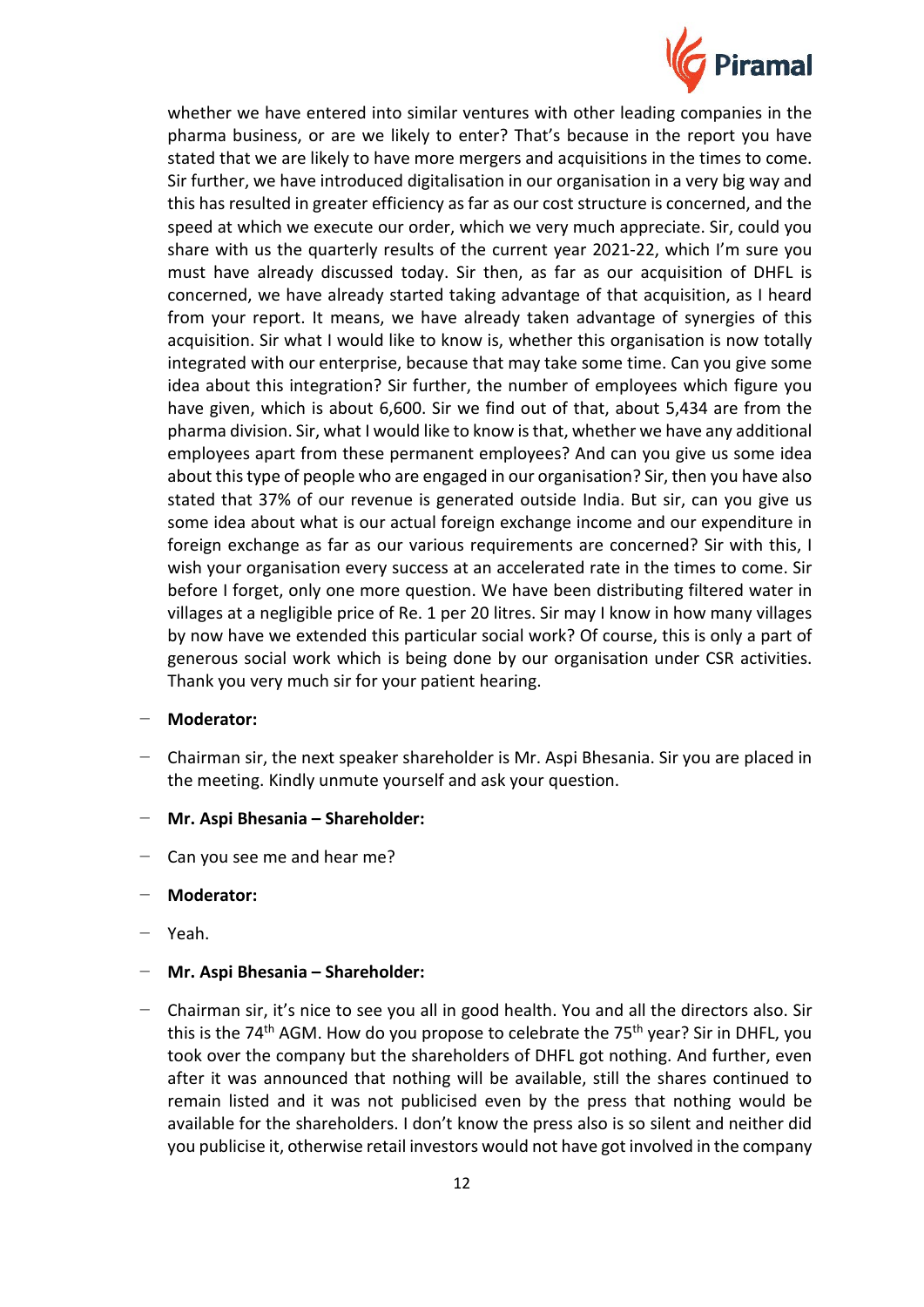

whether we have entered into similar ventures with other leading companies in the pharma business, or are we likely to enter? That's because in the report you have stated that we are likely to have more mergers and acquisitions in the times to come. Sir further, we have introduced digitalisation in our organisation in a very big way and this has resulted in greater efficiency as far as our cost structure is concerned, and the speed at which we execute our order, which we very much appreciate. Sir, could you share with us the quarterly results of the current year 2021-22, which I'm sure you must have already discussed today. Sir then, as far as our acquisition of DHFL is concerned, we have already started taking advantage of that acquisition, as I heard from your report. It means, we have already taken advantage of synergies of this acquisition. Sir what I would like to know is, whether this organisation is now totally integrated with our enterprise, because that may take some time. Can you give some idea about this integration? Sir further, the number of employees which figure you have given, which is about 6,600. Sir we find out of that, about 5,434 are from the pharma division. Sir, what I would like to know is that, whether we have any additional employees apart from these permanent employees? And can you give us some idea about this type of people who are engaged in our organisation? Sir, then you have also stated that 37% of our revenue is generated outside India. But sir, can you give us some idea about what is our actual foreign exchange income and our expenditure in foreign exchange as far as our various requirements are concerned? Sir with this, I wish your organisation every success at an accelerated rate in the times to come. Sir before I forget, only one more question. We have been distributing filtered water in villages at a negligible price of Re. 1 per 20 litres. Sir may I know in how many villages by now have we extended this particular social work? Of course, this is only a part of generous social work which is being done by our organisation under CSR activities. Thank you very much sir for your patient hearing.

# − **Moderator:**

- − Chairman sir, the next speaker shareholder is Mr. Aspi Bhesania. Sir you are placed in the meeting. Kindly unmute yourself and ask your question.
- − **Mr. Aspi Bhesania – Shareholder:**
- − Can you see me and hear me?
- − **Moderator:**
- − Yeah.
- − **Mr. Aspi Bhesania – Shareholder:**
- − Chairman sir, it's nice to see you all in good health. You and all the directors also. Sir this is the 74<sup>th</sup> AGM. How do you propose to celebrate the 75<sup>th</sup> year? Sir in DHFL, you took over the company but the shareholders of DHFL got nothing. And further, even after it was announced that nothing will be available, still the shares continued to remain listed and it was not publicised even by the press that nothing would be available for the shareholders. I don't know the press also is so silent and neither did you publicise it, otherwise retail investors would not have got involved in the company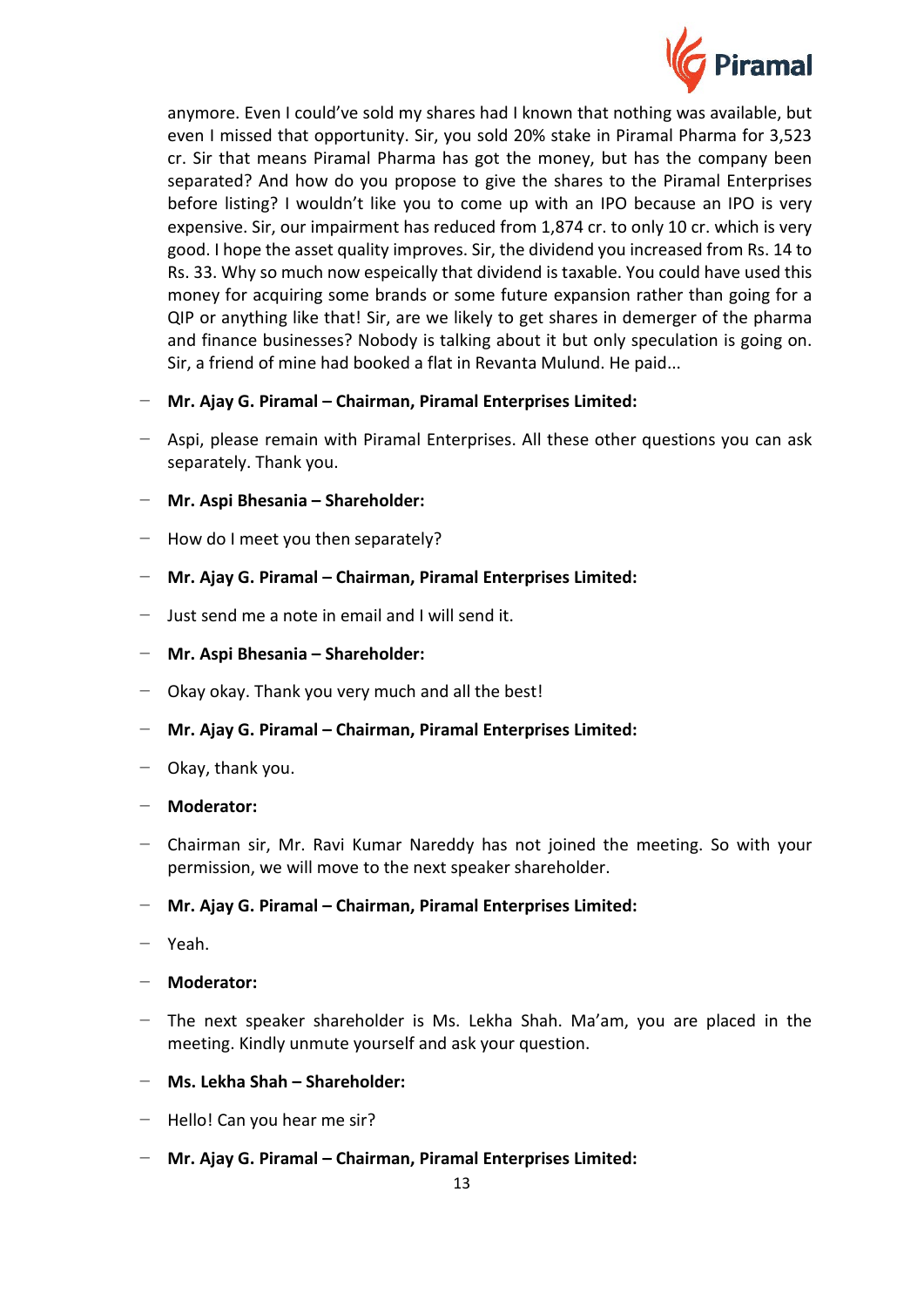

anymore. Even I could've sold my shares had I known that nothing was available, but even I missed that opportunity. Sir, you sold 20% stake in Piramal Pharma for 3,523 cr. Sir that means Piramal Pharma has got the money, but has the company been separated? And how do you propose to give the shares to the Piramal Enterprises before listing? I wouldn't like you to come up with an IPO because an IPO is very expensive. Sir, our impairment has reduced from 1,874 cr. to only 10 cr. which is very good. I hope the asset quality improves. Sir, the dividend you increased from Rs. 14 to Rs. 33. Why so much now espeically that dividend is taxable. You could have used this money for acquiring some brands or some future expansion rather than going for a QIP or anything like that! Sir, are we likely to get shares in demerger of the pharma and finance businesses? Nobody is talking about it but only speculation is going on. Sir, a friend of mine had booked a flat in Revanta Mulund. He paid...

- − **Mr. Ajay G. Piramal – Chairman, Piramal Enterprises Limited:**
- − Aspi, please remain with Piramal Enterprises. All these other questions you can ask separately. Thank you.
- − **Mr. Aspi Bhesania – Shareholder:**
- − How do I meet you then separately?
- − **Mr. Ajay G. Piramal – Chairman, Piramal Enterprises Limited:**
- − Just send me a note in email and I will send it.
- − **Mr. Aspi Bhesania – Shareholder:**
- − Okay okay. Thank you very much and all the best!
- − **Mr. Ajay G. Piramal – Chairman, Piramal Enterprises Limited:**
- − Okay, thank you.
- − **Moderator:**
- − Chairman sir, Mr. Ravi Kumar Nareddy has not joined the meeting. So with your permission, we will move to the next speaker shareholder.

# − **Mr. Ajay G. Piramal – Chairman, Piramal Enterprises Limited:**

- − Yeah.
- − **Moderator:**
- − The next speaker shareholder is Ms. Lekha Shah. Ma'am, you are placed in the meeting. Kindly unmute yourself and ask your question.
- − **Ms. Lekha Shah – Shareholder:**
- − Hello! Can you hear me sir?
- − **Mr. Ajay G. Piramal – Chairman, Piramal Enterprises Limited:**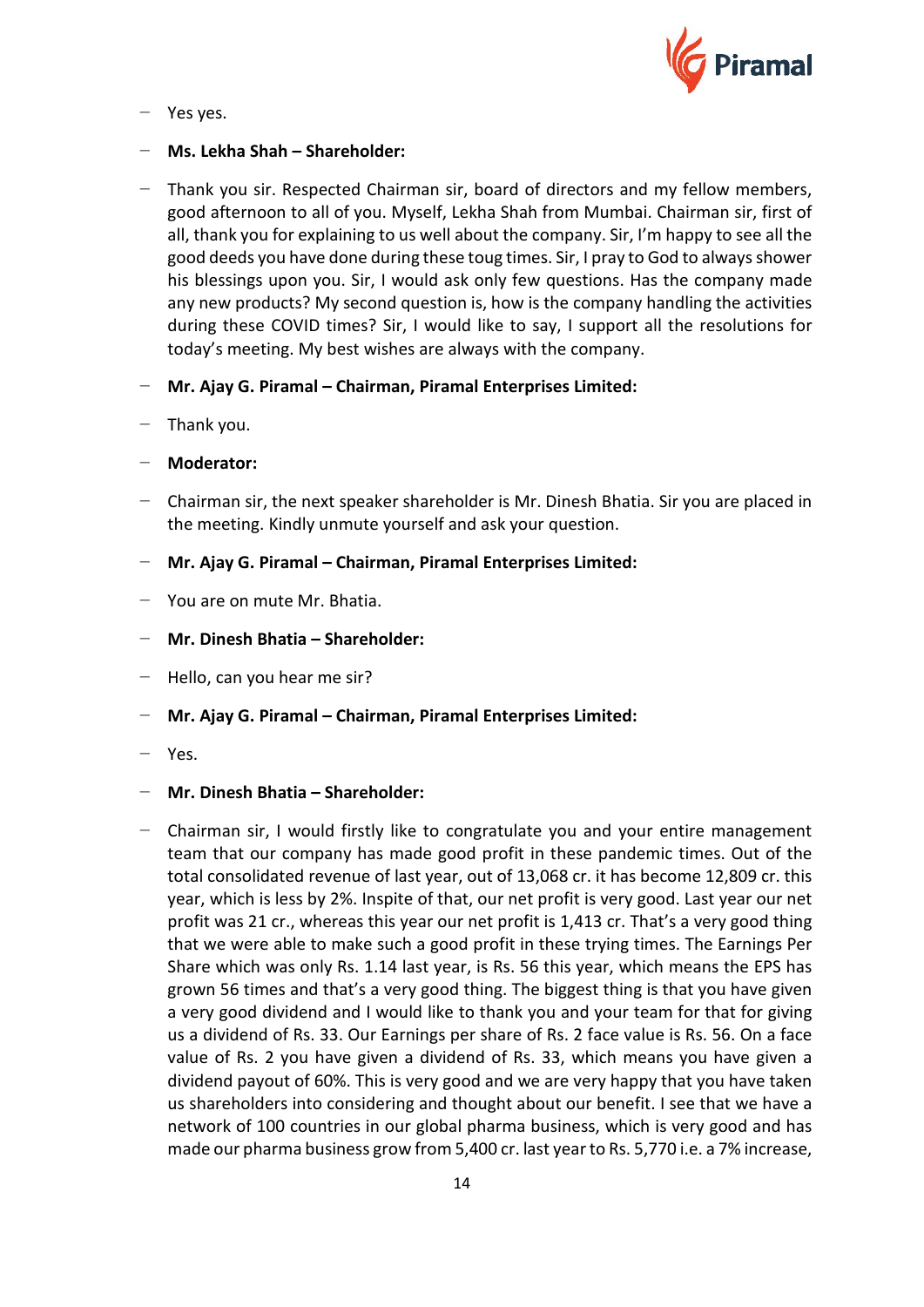

− Yes yes.

# − **Ms. Lekha Shah – Shareholder:**

- − Thank you sir. Respected Chairman sir, board of directors and my fellow members, good afternoon to all of you. Myself, Lekha Shah from Mumbai. Chairman sir, first of all, thank you for explaining to us well about the company. Sir, I'm happy to see all the good deeds you have done during these toug times. Sir, I pray to God to always shower his blessings upon you. Sir, I would ask only few questions. Has the company made any new products? My second question is, how is the company handling the activities during these COVID times? Sir, I would like to say, I support all the resolutions for today's meeting. My best wishes are always with the company.
- − **Mr. Ajay G. Piramal – Chairman, Piramal Enterprises Limited:**
- − Thank you.
- − **Moderator:**
- − Chairman sir, the next speaker shareholder is Mr. Dinesh Bhatia. Sir you are placed in the meeting. Kindly unmute yourself and ask your question.
- − **Mr. Ajay G. Piramal – Chairman, Piramal Enterprises Limited:**
- − You are on mute Mr. Bhatia.
- − **Mr. Dinesh Bhatia – Shareholder:**
- − Hello, can you hear me sir?
- − **Mr. Ajay G. Piramal – Chairman, Piramal Enterprises Limited:**
- − Yes.
- − **Mr. Dinesh Bhatia – Shareholder:**
- − Chairman sir, I would firstly like to congratulate you and your entire management team that our company has made good profit in these pandemic times. Out of the total consolidated revenue of last year, out of 13,068 cr. it has become 12,809 cr. this year, which is less by 2%. Inspite of that, our net profit is very good. Last year our net profit was 21 cr., whereas this year our net profit is 1,413 cr. That's a very good thing that we were able to make such a good profit in these trying times. The Earnings Per Share which was only Rs. 1.14 last year, is Rs. 56 this year, which means the EPS has grown 56 times and that's a very good thing. The biggest thing is that you have given a very good dividend and I would like to thank you and your team for that for giving us a dividend of Rs. 33. Our Earnings per share of Rs. 2 face value is Rs. 56. On a face value of Rs. 2 you have given a dividend of Rs. 33, which means you have given a dividend payout of 60%. This is very good and we are very happy that you have taken us shareholders into considering and thought about our benefit. I see that we have a network of 100 countries in our global pharma business, which is very good and has made our pharma business grow from 5,400 cr. last year to Rs. 5,770 i.e. a 7% increase,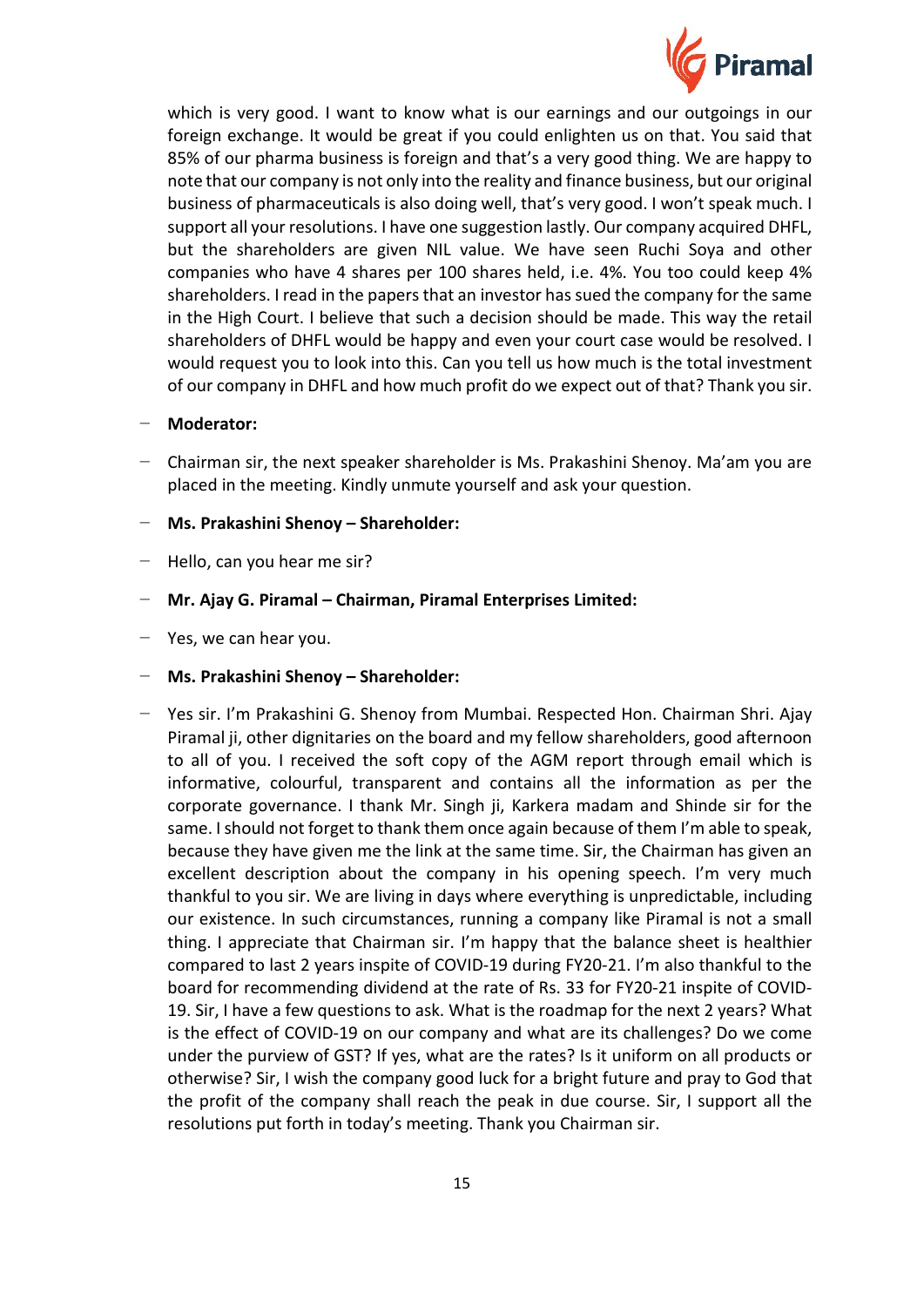

which is very good. I want to know what is our earnings and our outgoings in our foreign exchange. It would be great if you could enlighten us on that. You said that 85% of our pharma business is foreign and that's a very good thing. We are happy to note that our company is not only into the reality and finance business, but our original business of pharmaceuticals is also doing well, that's very good. I won't speak much. I support all your resolutions. I have one suggestion lastly. Our company acquired DHFL, but the shareholders are given NIL value. We have seen Ruchi Soya and other companies who have 4 shares per 100 shares held, i.e. 4%. You too could keep 4% shareholders. I read in the papers that an investor has sued the company for the same in the High Court. I believe that such a decision should be made. This way the retail shareholders of DHFL would be happy and even your court case would be resolved. I would request you to look into this. Can you tell us how much is the total investment of our company in DHFL and how much profit do we expect out of that? Thank you sir.

- − **Moderator:**
- − Chairman sir, the next speaker shareholder is Ms. Prakashini Shenoy. Ma'am you are placed in the meeting. Kindly unmute yourself and ask your question.
- − **Ms. Prakashini Shenoy – Shareholder:**
- − Hello, can you hear me sir?
- − **Mr. Ajay G. Piramal – Chairman, Piramal Enterprises Limited:**
- − Yes, we can hear you.
- − **Ms. Prakashini Shenoy – Shareholder:**
- − Yes sir. I'm Prakashini G. Shenoy from Mumbai. Respected Hon. Chairman Shri. Ajay Piramal ji, other dignitaries on the board and my fellow shareholders, good afternoon to all of you. I received the soft copy of the AGM report through email which is informative, colourful, transparent and contains all the information as per the corporate governance. I thank Mr. Singh ji, Karkera madam and Shinde sir for the same. I should not forget to thank them once again because of them I'm able to speak, because they have given me the link at the same time. Sir, the Chairman has given an excellent description about the company in his opening speech. I'm very much thankful to you sir. We are living in days where everything is unpredictable, including our existence. In such circumstances, running a company like Piramal is not a small thing. I appreciate that Chairman sir. I'm happy that the balance sheet is healthier compared to last 2 years inspite of COVID-19 during FY20-21. I'm also thankful to the board for recommending dividend at the rate of Rs. 33 for FY20-21 inspite of COVID-19. Sir, I have a few questions to ask. What is the roadmap for the next 2 years? What is the effect of COVID-19 on our company and what are its challenges? Do we come under the purview of GST? If yes, what are the rates? Is it uniform on all products or otherwise? Sir, I wish the company good luck for a bright future and pray to God that the profit of the company shall reach the peak in due course. Sir, I support all the resolutions put forth in today's meeting. Thank you Chairman sir.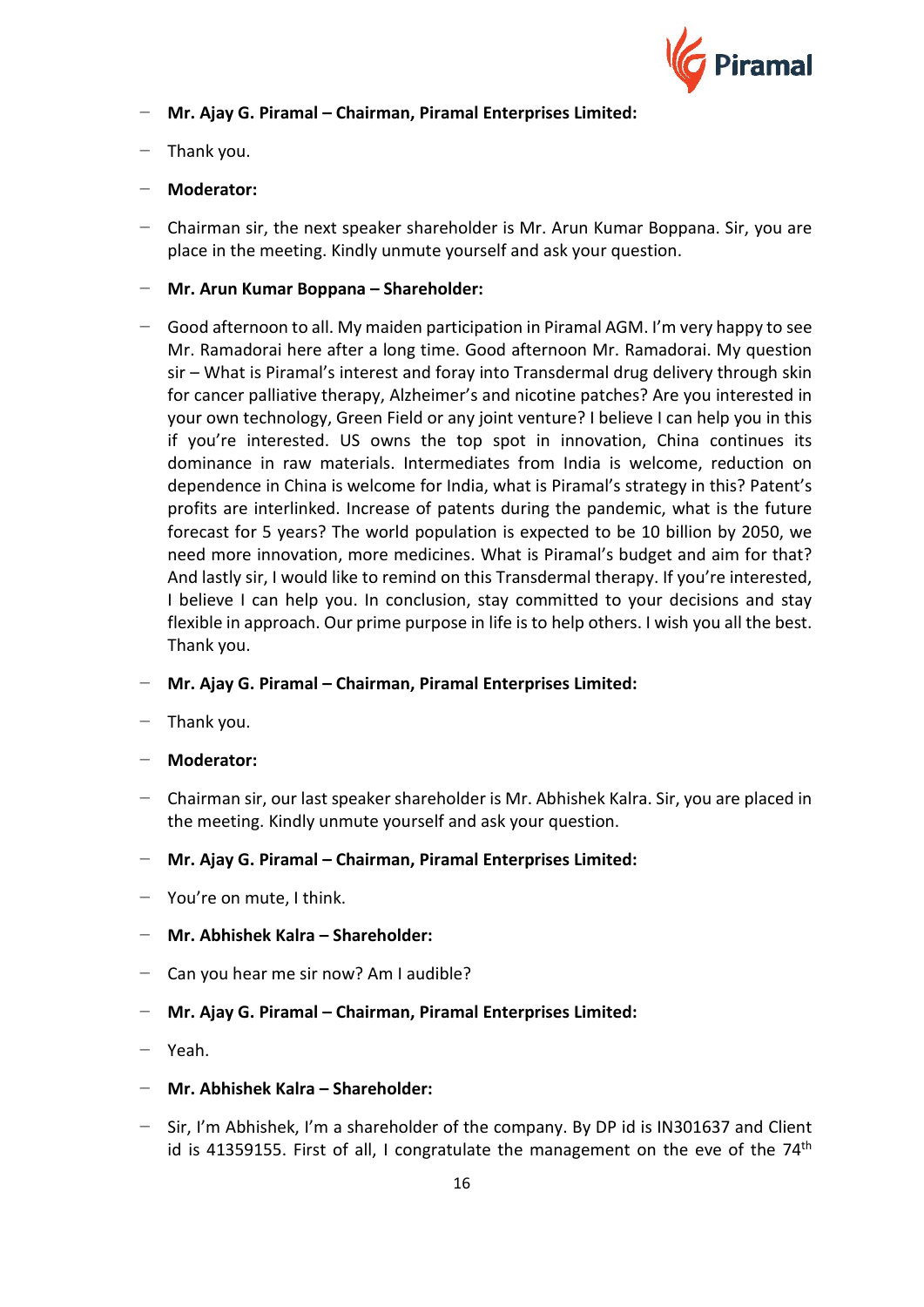

- − **Mr. Ajay G. Piramal – Chairman, Piramal Enterprises Limited:**
- − Thank you.
- − **Moderator:**
- − Chairman sir, the next speaker shareholder is Mr. Arun Kumar Boppana. Sir, you are place in the meeting. Kindly unmute yourself and ask your question.
- − **Mr. Arun Kumar Boppana – Shareholder:**
- − Good afternoon to all. My maiden participation in Piramal AGM. I'm very happy to see Mr. Ramadorai here after a long time. Good afternoon Mr. Ramadorai. My question sir – What is Piramal's interest and foray into Transdermal drug delivery through skin for cancer palliative therapy, Alzheimer's and nicotine patches? Are you interested in your own technology, Green Field or any joint venture? I believe I can help you in this if you're interested. US owns the top spot in innovation, China continues its dominance in raw materials. Intermediates from India is welcome, reduction on dependence in China is welcome for India, what is Piramal's strategy in this? Patent's profits are interlinked. Increase of patents during the pandemic, what is the future forecast for 5 years? The world population is expected to be 10 billion by 2050, we need more innovation, more medicines. What is Piramal's budget and aim for that? And lastly sir, I would like to remind on this Transdermal therapy. If you're interested, I believe I can help you. In conclusion, stay committed to your decisions and stay flexible in approach. Our prime purpose in life is to help others. I wish you all the best. Thank you.
- − **Mr. Ajay G. Piramal – Chairman, Piramal Enterprises Limited:**
- − Thank you.
- − **Moderator:**
- − Chairman sir, our last speaker shareholder is Mr. Abhishek Kalra. Sir, you are placed in the meeting. Kindly unmute yourself and ask your question.
- − **Mr. Ajay G. Piramal – Chairman, Piramal Enterprises Limited:**
- − You're on mute, I think.
- − **Mr. Abhishek Kalra – Shareholder:**
- − Can you hear me sir now? Am I audible?
- − **Mr. Ajay G. Piramal – Chairman, Piramal Enterprises Limited:**
- − Yeah.
- − **Mr. Abhishek Kalra – Shareholder:**
- − Sir, I'm Abhishek, I'm a shareholder of the company. By DP id is IN301637 and Client id is 41359155. First of all, I congratulate the management on the eve of the  $74<sup>th</sup>$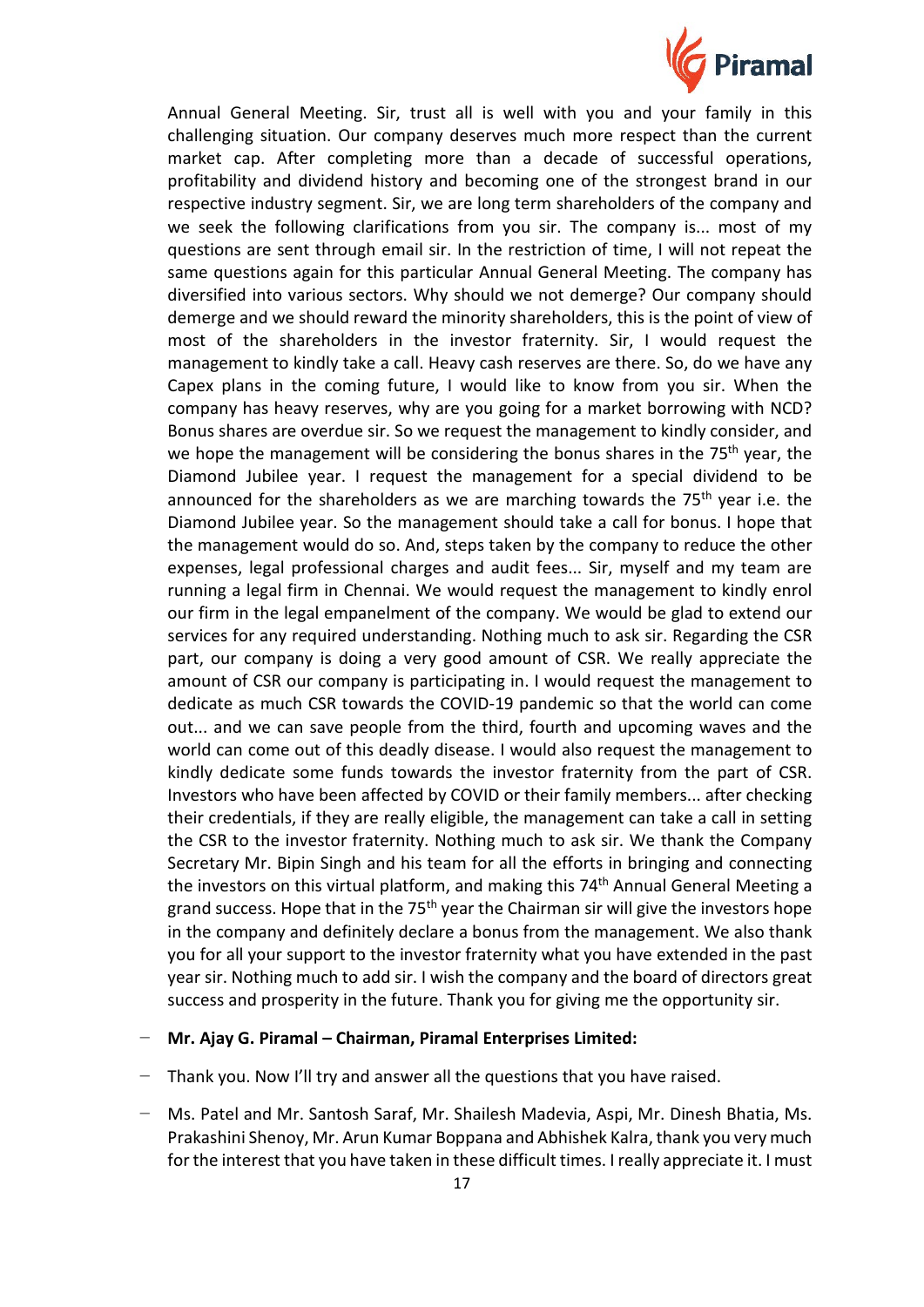

Annual General Meeting. Sir, trust all is well with you and your family in this challenging situation. Our company deserves much more respect than the current market cap. After completing more than a decade of successful operations, profitability and dividend history and becoming one of the strongest brand in our respective industry segment. Sir, we are long term shareholders of the company and we seek the following clarifications from you sir. The company is... most of my questions are sent through email sir. In the restriction of time, I will not repeat the same questions again for this particular Annual General Meeting. The company has diversified into various sectors. Why should we not demerge? Our company should demerge and we should reward the minority shareholders, this is the point of view of most of the shareholders in the investor fraternity. Sir, I would request the management to kindly take a call. Heavy cash reserves are there. So, do we have any Capex plans in the coming future, I would like to know from you sir. When the company has heavy reserves, why are you going for a market borrowing with NCD? Bonus shares are overdue sir. So we request the management to kindly consider, and we hope the management will be considering the bonus shares in the 75<sup>th</sup> year, the Diamond Jubilee year. I request the management for a special dividend to be announced for the shareholders as we are marching towards the 75<sup>th</sup> year i.e. the Diamond Jubilee year. So the management should take a call for bonus. I hope that the management would do so. And, steps taken by the company to reduce the other expenses, legal professional charges and audit fees... Sir, myself and my team are running a legal firm in Chennai. We would request the management to kindly enrol our firm in the legal empanelment of the company. We would be glad to extend our services for any required understanding. Nothing much to ask sir. Regarding the CSR part, our company is doing a very good amount of CSR. We really appreciate the amount of CSR our company is participating in. I would request the management to dedicate as much CSR towards the COVID-19 pandemic so that the world can come out... and we can save people from the third, fourth and upcoming waves and the world can come out of this deadly disease. I would also request the management to kindly dedicate some funds towards the investor fraternity from the part of CSR. Investors who have been affected by COVID or their family members... after checking their credentials, if they are really eligible, the management can take a call in setting the CSR to the investor fraternity. Nothing much to ask sir. We thank the Company Secretary Mr. Bipin Singh and his team for all the efforts in bringing and connecting the investors on this virtual platform, and making this 74<sup>th</sup> Annual General Meeting a grand success. Hope that in the 75<sup>th</sup> year the Chairman sir will give the investors hope in the company and definitely declare a bonus from the management. We also thank you for all your support to the investor fraternity what you have extended in the past year sir. Nothing much to add sir. I wish the company and the board of directors great success and prosperity in the future. Thank you for giving me the opportunity sir.

#### − **Mr. Ajay G. Piramal – Chairman, Piramal Enterprises Limited:**

- − Thank you. Now I'll try and answer all the questions that you have raised.
- − Ms. Patel and Mr. Santosh Saraf, Mr. Shailesh Madevia, Aspi, Mr. Dinesh Bhatia, Ms. Prakashini Shenoy, Mr. Arun Kumar Boppana and Abhishek Kalra, thank you very much for the interest that you have taken in these difficult times. I really appreciate it. I must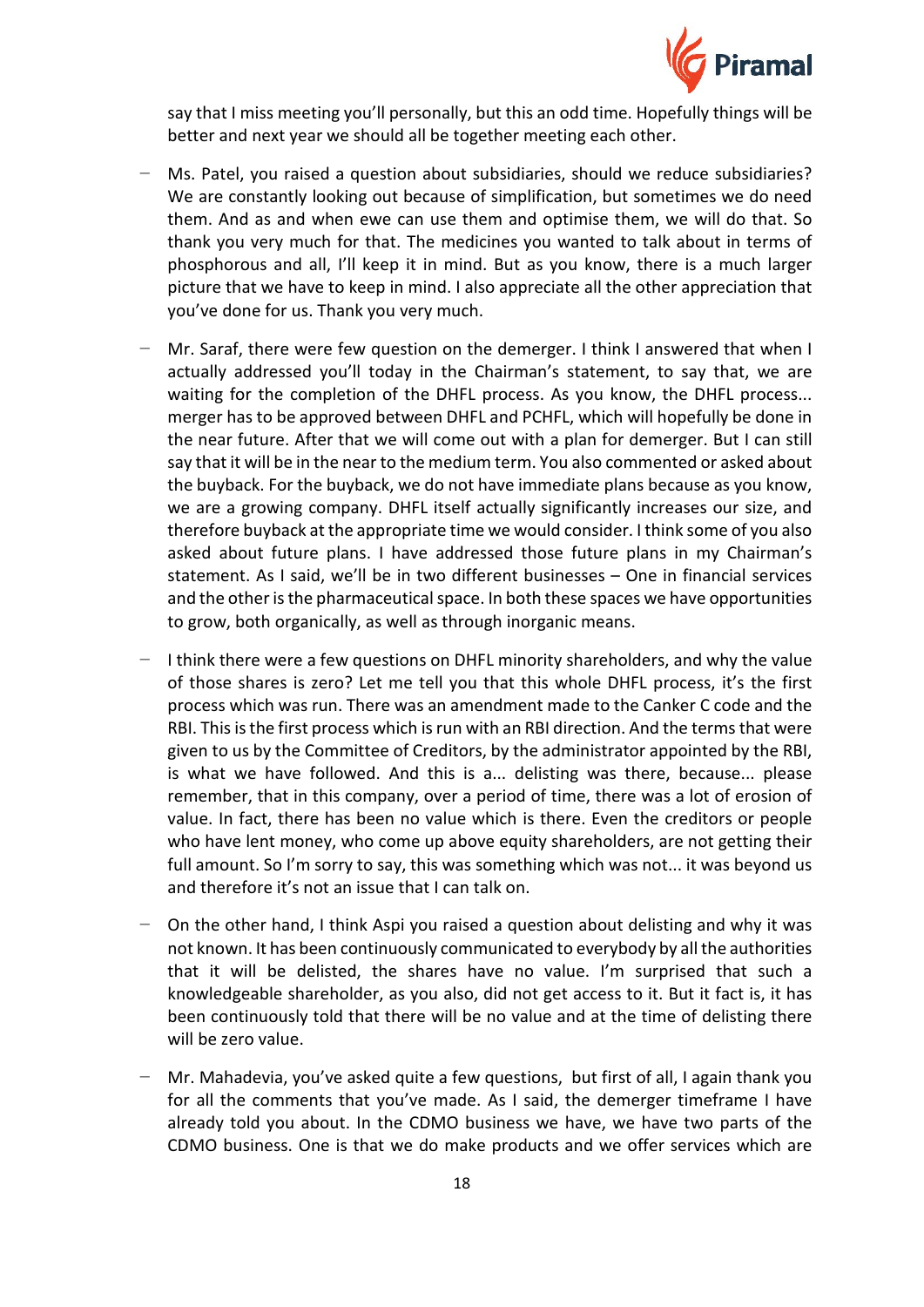

say that I miss meeting you'll personally, but this an odd time. Hopefully things will be better and next year we should all be together meeting each other.

- − Ms. Patel, you raised a question about subsidiaries, should we reduce subsidiaries? We are constantly looking out because of simplification, but sometimes we do need them. And as and when ewe can use them and optimise them, we will do that. So thank you very much for that. The medicines you wanted to talk about in terms of phosphorous and all, I'll keep it in mind. But as you know, there is a much larger picture that we have to keep in mind. I also appreciate all the other appreciation that you've done for us. Thank you very much.
- − Mr. Saraf, there were few question on the demerger. I think I answered that when I actually addressed you'll today in the Chairman's statement, to say that, we are waiting for the completion of the DHFL process. As you know, the DHFL process... merger has to be approved between DHFL and PCHFL, which will hopefully be done in the near future. After that we will come out with a plan for demerger. But I can still say that it will be in the near to the medium term. You also commented or asked about the buyback. For the buyback, we do not have immediate plans because as you know, we are a growing company. DHFL itself actually significantly increases our size, and therefore buyback at the appropriate time we would consider. I think some of you also asked about future plans. I have addressed those future plans in my Chairman's statement. As I said, we'll be in two different businesses – One in financial services and the other is the pharmaceutical space. In both these spaces we have opportunities to grow, both organically, as well as through inorganic means.
- − I think there were a few questions on DHFL minority shareholders, and why the value of those shares is zero? Let me tell you that this whole DHFL process, it's the first process which was run. There was an amendment made to the Canker C code and the RBI. This is the first process which is run with an RBI direction. And the terms that were given to us by the Committee of Creditors, by the administrator appointed by the RBI, is what we have followed. And this is a... delisting was there, because... please remember, that in this company, over a period of time, there was a lot of erosion of value. In fact, there has been no value which is there. Even the creditors or people who have lent money, who come up above equity shareholders, are not getting their full amount. So I'm sorry to say, this was something which was not... it was beyond us and therefore it's not an issue that I can talk on.
- On the other hand, I think Aspi you raised a question about delisting and why it was not known. It has been continuously communicated to everybody by all the authorities that it will be delisted, the shares have no value. I'm surprised that such a knowledgeable shareholder, as you also, did not get access to it. But it fact is, it has been continuously told that there will be no value and at the time of delisting there will be zero value.
- − Mr. Mahadevia, you've asked quite a few questions, but first of all, I again thank you for all the comments that you've made. As I said, the demerger timeframe I have already told you about. In the CDMO business we have, we have two parts of the CDMO business. One is that we do make products and we offer services which are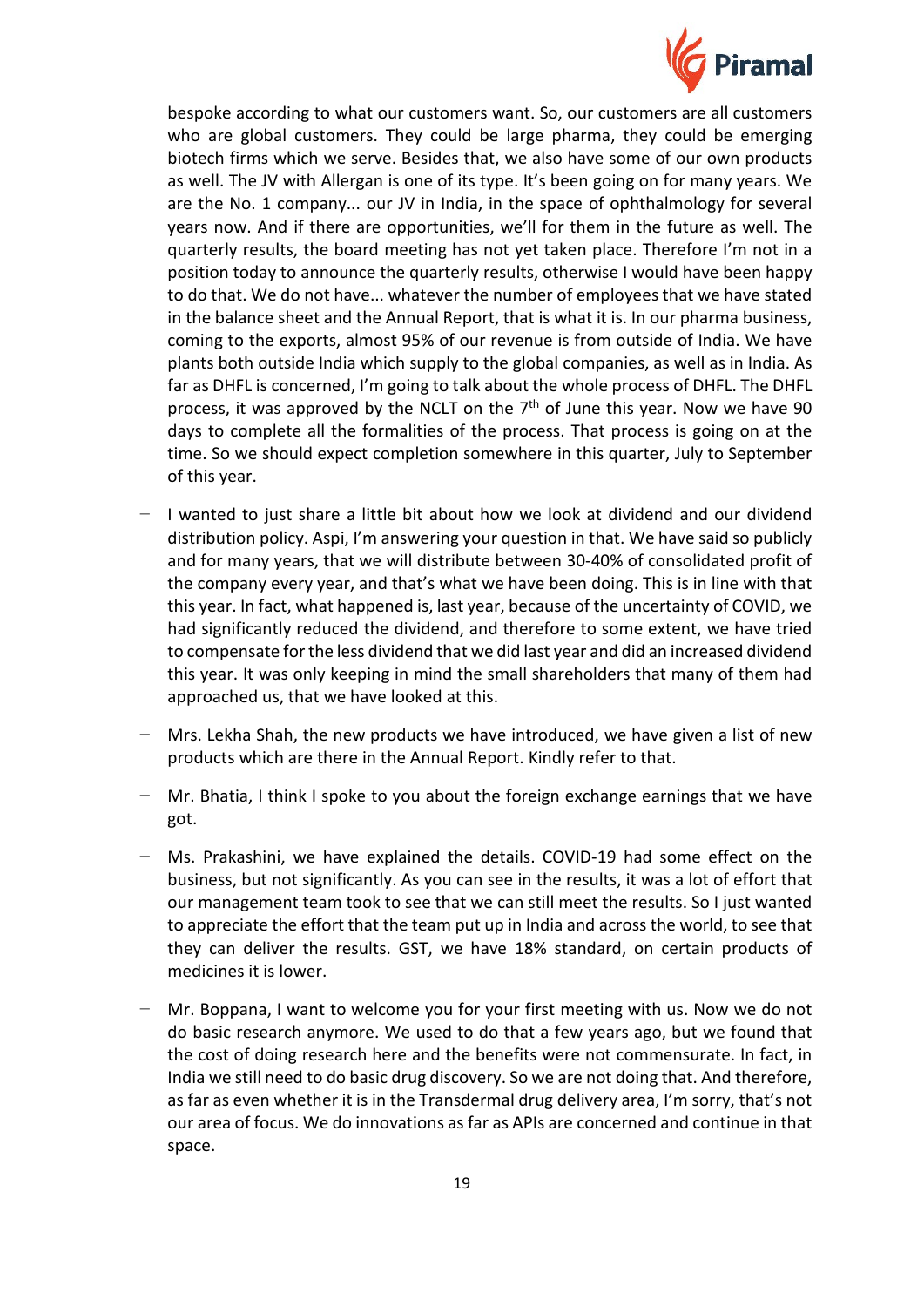

bespoke according to what our customers want. So, our customers are all customers who are global customers. They could be large pharma, they could be emerging biotech firms which we serve. Besides that, we also have some of our own products as well. The JV with Allergan is one of its type. It's been going on for many years. We are the No. 1 company... our JV in India, in the space of ophthalmology for several years now. And if there are opportunities, we'll for them in the future as well. The quarterly results, the board meeting has not yet taken place. Therefore I'm not in a position today to announce the quarterly results, otherwise I would have been happy to do that. We do not have... whatever the number of employees that we have stated in the balance sheet and the Annual Report, that is what it is. In our pharma business, coming to the exports, almost 95% of our revenue is from outside of India. We have plants both outside India which supply to the global companies, as well as in India. As far as DHFL is concerned, I'm going to talk about the whole process of DHFL. The DHFL process, it was approved by the NCLT on the  $7<sup>th</sup>$  of June this year. Now we have 90 days to complete all the formalities of the process. That process is going on at the time. So we should expect completion somewhere in this quarter, July to September of this year.

- − I wanted to just share a little bit about how we look at dividend and our dividend distribution policy. Aspi, I'm answering your question in that. We have said so publicly and for many years, that we will distribute between 30-40% of consolidated profit of the company every year, and that's what we have been doing. This is in line with that this year. In fact, what happened is, last year, because of the uncertainty of COVID, we had significantly reduced the dividend, and therefore to some extent, we have tried to compensate for the less dividend that we did last year and did an increased dividend this year. It was only keeping in mind the small shareholders that many of them had approached us, that we have looked at this.
- − Mrs. Lekha Shah, the new products we have introduced, we have given a list of new products which are there in the Annual Report. Kindly refer to that.
- − Mr. Bhatia, I think I spoke to you about the foreign exchange earnings that we have got.
- − Ms. Prakashini, we have explained the details. COVID-19 had some effect on the business, but not significantly. As you can see in the results, it was a lot of effort that our management team took to see that we can still meet the results. So I just wanted to appreciate the effort that the team put up in India and across the world, to see that they can deliver the results. GST, we have 18% standard, on certain products of medicines it is lower.
- − Mr. Boppana, I want to welcome you for your first meeting with us. Now we do not do basic research anymore. We used to do that a few years ago, but we found that the cost of doing research here and the benefits were not commensurate. In fact, in India we still need to do basic drug discovery. So we are not doing that. And therefore, as far as even whether it is in the Transdermal drug delivery area, I'm sorry, that's not our area of focus. We do innovations as far as APIs are concerned and continue in that space.